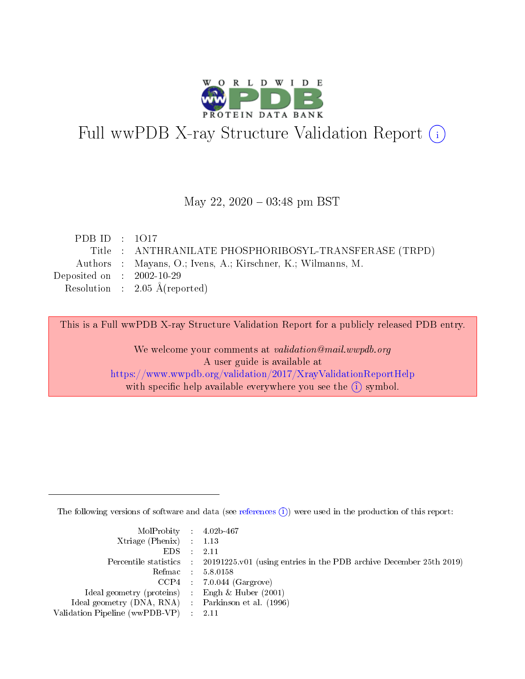

# Full wwPDB X-ray Structure Validation Report (i)

#### May 22,  $2020 - 03:48$  pm BST

| PDB ID : $1017$             |                                                              |
|-----------------------------|--------------------------------------------------------------|
|                             | Title : ANTHRANILATE PHOSPHORIBOSYL-TRANSFERASE (TRPD)       |
|                             | Authors : Mayans, O.; Ivens, A.; Kirschner, K.; Wilmanns, M. |
| Deposited on : $2002-10-29$ |                                                              |
|                             | Resolution : $2.05 \text{ Å}$ (reported)                     |
|                             |                                                              |

This is a Full wwPDB X-ray Structure Validation Report for a publicly released PDB entry.

We welcome your comments at validation@mail.wwpdb.org A user guide is available at <https://www.wwpdb.org/validation/2017/XrayValidationReportHelp> with specific help available everywhere you see the  $(i)$  symbol.

The following versions of software and data (see [references](https://www.wwpdb.org/validation/2017/XrayValidationReportHelp#references)  $(i)$ ) were used in the production of this report:

| MolProbity : $4.02b-467$                            |                                                                                            |
|-----------------------------------------------------|--------------------------------------------------------------------------------------------|
| Xtriage (Phenix) $: 1.13$                           |                                                                                            |
| EDS -                                               | 2.11                                                                                       |
|                                                     | Percentile statistics : 20191225.v01 (using entries in the PDB archive December 25th 2019) |
|                                                     | Refmac 58.0158                                                                             |
|                                                     | $CCP4$ 7.0.044 (Gargrove)                                                                  |
| Ideal geometry (proteins) : Engh $\&$ Huber (2001)  |                                                                                            |
| Ideal geometry (DNA, RNA) : Parkinson et al. (1996) |                                                                                            |
| Validation Pipeline (wwPDB-VP)                      | -2.11                                                                                      |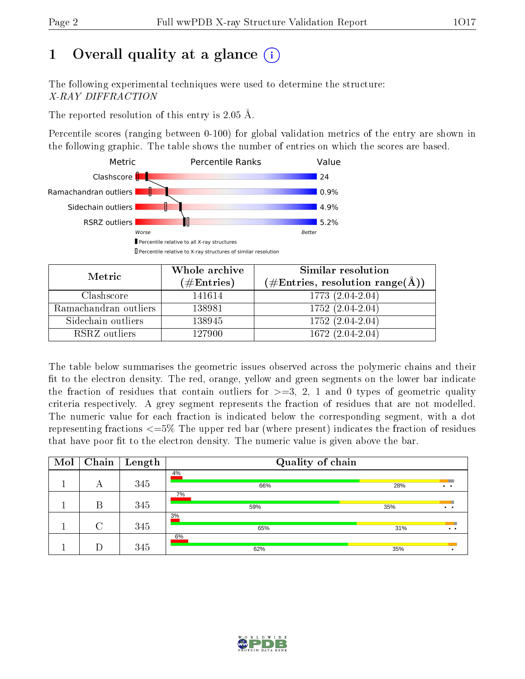# 1 [O](https://www.wwpdb.org/validation/2017/XrayValidationReportHelp#overall_quality)verall quality at a glance  $(i)$

The following experimental techniques were used to determine the structure: X-RAY DIFFRACTION

The reported resolution of this entry is  $2.05 \text{ Å}.$ 

Percentile scores (ranging between 0-100) for global validation metrics of the entry are shown in the following graphic. The table shows the number of entries on which the scores are based.



| Metric                | Whole archive<br>$(\#\text{Entries})$ | Similar resolution<br>$(\#\text{Entries}, \text{resolution range}(\text{\AA}))$ |
|-----------------------|---------------------------------------|---------------------------------------------------------------------------------|
| Clashscore            | 141614                                | $1773(2.04-2.04)$                                                               |
| Ramachandran outliers | 138981                                | $1752(2.04-2.04)$                                                               |
| Sidechain outliers    | 138945                                | $1752(2.04-2.04)$                                                               |
| RSRZ outliers         | 127900                                | $1672(2.04-2.04)$                                                               |

The table below summarises the geometric issues observed across the polymeric chains and their fit to the electron density. The red, orange, yellow and green segments on the lower bar indicate the fraction of residues that contain outliers for  $\geq=3$ , 2, 1 and 0 types of geometric quality criteria respectively. A grey segment represents the fraction of residues that are not modelled. The numeric value for each fraction is indicated below the corresponding segment, with a dot representing fractions  $\epsilon = 5\%$  The upper red bar (where present) indicates the fraction of residues that have poor fit to the electron density. The numeric value is given above the bar.

| Mol | Chain | Length | Quality of chain |     |                     |  |  |  |
|-----|-------|--------|------------------|-----|---------------------|--|--|--|
|     | А     | 345    | 4%<br>66%        | 28% | $\cdot$ $\cdot$     |  |  |  |
|     |       |        | 7%               |     |                     |  |  |  |
|     | В     | 345    | 59%<br>3%        | 35% | $\cdot$ $\cdot$     |  |  |  |
|     | ⌒     | 345    | 65%              | 31% | $\bullet$ $\bullet$ |  |  |  |
|     |       |        | 6%               |     |                     |  |  |  |
|     |       | 345    | 62%              | 35% |                     |  |  |  |

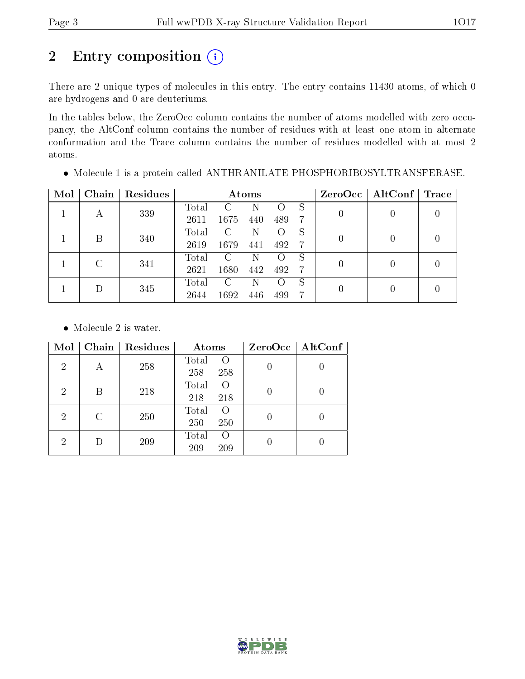# 2 Entry composition (i)

There are 2 unique types of molecules in this entry. The entry contains 11430 atoms, of which 0 are hydrogens and 0 are deuteriums.

In the tables below, the ZeroOcc column contains the number of atoms modelled with zero occupancy, the AltConf column contains the number of residues with at least one atom in alternate conformation and the Trace column contains the number of residues modelled with at most 2 atoms.

| Mol | Chain | Residues | Atoms |      |     |     |    | ZeroOcc        | AltConf | Trace |
|-----|-------|----------|-------|------|-----|-----|----|----------------|---------|-------|
|     |       | 339      | Total |      | Ν   | 0   | S  | 0              |         |       |
|     | А     |          | 2611  | 1675 | 440 | 489 | -7 |                |         |       |
|     | В     | 340      | Total | C    | Ν   |     | S  | 0              |         |       |
|     |       |          | 2619  | 1679 | 441 | 492 | -7 |                |         |       |
|     | C     |          | Total | C    | Ν   |     | S  | $\overline{0}$ |         |       |
|     | 341   | 2621     | 1680  | 442  | 492 | -7  |    |                |         |       |
|     |       |          | Total | С    | Ν   |     | S  |                |         |       |
|     | 345   | 2644     | 1692  | 446  | 499 | 7   | 0  |                |         |       |

Molecule 1 is a protein called ANTHRANILATE PHOSPHORIBOSYLTRANSFERASE.

• Molecule 2 is water.

| Mol            | Chain         | Residues | Atoms                           | ZeroOcc   AltConf |
|----------------|---------------|----------|---------------------------------|-------------------|
| $\overline{2}$ | А             | 258      | Total<br>$\Omega$<br>258<br>258 |                   |
| 2              | Β             | 218      | Total<br>$\Omega$<br>218<br>218 |                   |
| 2              | $\mathcal{C}$ | 250      | Total<br>$\Omega$<br>250<br>250 |                   |
| 2              |               | 209      | Total<br>$\Omega$<br>209<br>209 |                   |

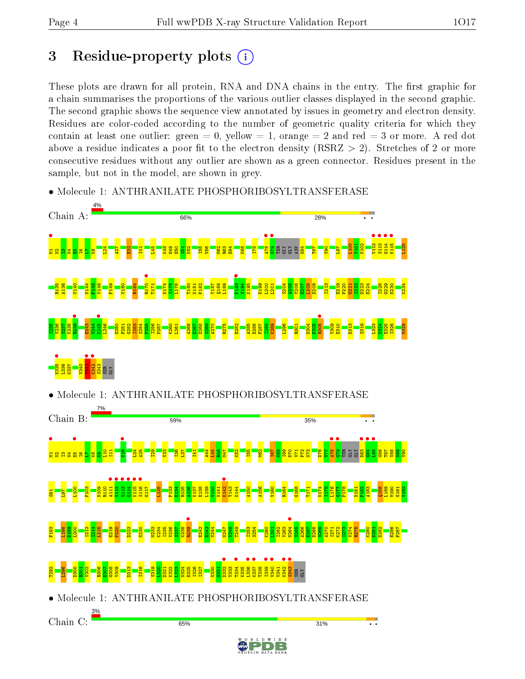# 3 Residue-property plots  $(i)$

These plots are drawn for all protein, RNA and DNA chains in the entry. The first graphic for a chain summarises the proportions of the various outlier classes displayed in the second graphic. The second graphic shows the sequence view annotated by issues in geometry and electron density. Residues are color-coded according to the number of geometric quality criteria for which they contain at least one outlier: green  $= 0$ , yellow  $= 1$ , orange  $= 2$  and red  $= 3$  or more. A red dot above a residue indicates a poor fit to the electron density (RSRZ  $> 2$ ). Stretches of 2 or more consecutive residues without any outlier are shown as a green connector. Residues present in the sample, but not in the model, are shown in grey.



• Molecule 1: ANTHRANILATE PHOSPHORIBOSYLTRANSFERASE

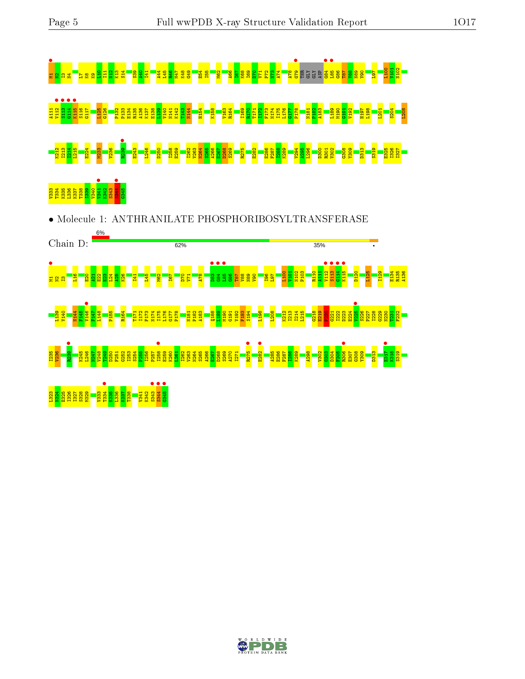Chain D:

●<br><sub># 21</sub> n<mark>=9</mark> n2|<br># 21 n2|

L139 V140 N144 F145  $\frac{6}{25147}$ F147 L148 P155

 $\frac{1}{2}$  $\frac{22}{2}$ ន <mark>ង</mark>

6%





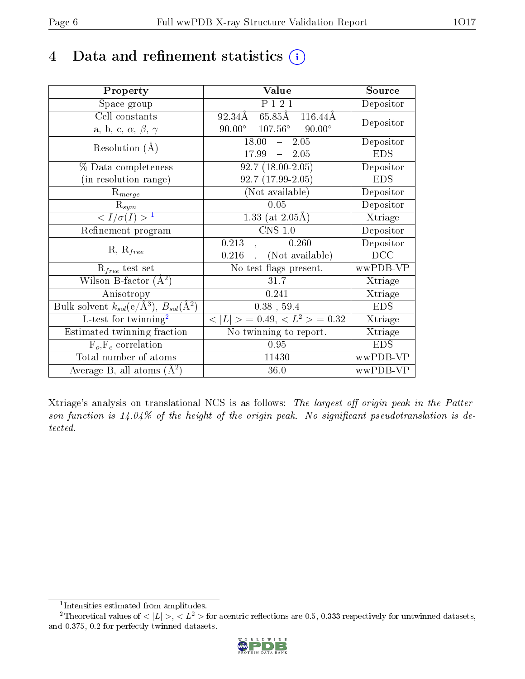# 4 Data and refinement statistics  $(i)$

| Property                                                             | Value                                    | Source     |
|----------------------------------------------------------------------|------------------------------------------|------------|
| Space group                                                          | P 1 2 1                                  | Depositor  |
| Cell constants                                                       | 65.85Å 116.44Å<br>92.34Å                 | Depositor  |
| a, b, c, $\alpha$ , $\beta$ , $\gamma$                               | $107.56^{\circ}$ 90.00°<br>$90.00^\circ$ |            |
| Resolution $(A)$                                                     | 18.00<br>$-2.05$                         | Depositor  |
|                                                                      | $17.99 - 2.05$                           | <b>EDS</b> |
| % Data completeness                                                  | $92.7(18.00-2.05)$                       | Depositor  |
| (in resolution range)                                                | 92.7 (17.99-2.05)                        | <b>EDS</b> |
| $R_{merge}$                                                          | (Not available)                          | Depositor  |
| $\mathrm{R}_{sym}$                                                   | 0.05                                     | Depositor  |
| $\langle I/\sigma(I) \rangle^{-1}$                                   | 1.33 (at $2.05\text{\AA}$ )              | Xtriage    |
| Refinement program                                                   | $CNS$ 1.0                                | Depositor  |
| $R, R_{free}$                                                        | 0.213<br>0.260                           | Depositor  |
|                                                                      | (Not available)<br>0.216                 | DCC        |
| $R_{free}$ test set                                                  | No test flags present.                   | wwPDB-VP   |
| Wilson B-factor $(A^2)$                                              | 31.7                                     | Xtriage    |
| Anisotropy                                                           | 0.241                                    | Xtriage    |
| Bulk solvent $k_{sol}(e/\mathring{A}^3)$ , $B_{sol}(\mathring{A}^2)$ | $0.38$ , 59.4                            | <b>EDS</b> |
| L-test for twinning <sup>2</sup>                                     | $< L >$ = 0.49, $< L^2 >$ = 0.32         | Xtriage    |
| Estimated twinning fraction                                          | No twinning to report.                   | Xtriage    |
| $F_o, F_c$ correlation                                               | 0.95                                     | <b>EDS</b> |
| Total number of atoms                                                | 11430                                    | wwPDB-VP   |
| Average B, all atoms $(A^2)$                                         | 36.0                                     | wwPDB-VP   |

Xtriage's analysis on translational NCS is as follows: The largest off-origin peak in the Patterson function is  $14.04\%$  of the height of the origin peak. No significant pseudotranslation is detected.

<sup>&</sup>lt;sup>2</sup>Theoretical values of  $\langle |L| \rangle$ ,  $\langle L^2 \rangle$  for acentric reflections are 0.5, 0.333 respectively for untwinned datasets, and 0.375, 0.2 for perfectly twinned datasets.



<span id="page-5-1"></span><span id="page-5-0"></span><sup>1</sup> Intensities estimated from amplitudes.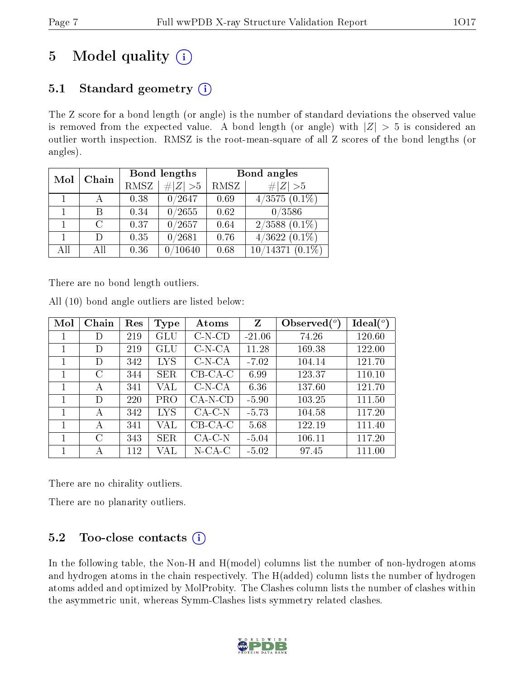# 5 Model quality  $(i)$

# 5.1 Standard geometry  $(i)$

The Z score for a bond length (or angle) is the number of standard deviations the observed value is removed from the expected value. A bond length (or angle) with  $|Z| > 5$  is considered an outlier worth inspection. RMSZ is the root-mean-square of all Z scores of the bond lengths (or angles).

| Mol | Chain                       |      | Bond lengths | Bond angles |                    |  |
|-----|-----------------------------|------|--------------|-------------|--------------------|--|
|     |                             | RMSZ | $\# Z  > 5$  | RMSZ        | # $ Z >5$          |  |
|     |                             | 0.38 | 0/2647       | 0.69        | $4/3575$ $(0.1\%)$ |  |
|     |                             | 0.34 | 0/2655       | 0.62        | 0/3586             |  |
|     | $\mathcal{C}_{\mathcal{C}}$ | 0.37 | 0/2657       | 0.64        | $2/3588$ $(0.1\%)$ |  |
|     |                             | 0.35 | 0/2681       | 0.76        | $4/3622(0.1\%)$    |  |
| All | All                         | 0.36 | 10640        | 0.68        | $10/14371(0.1\%)$  |  |

There are no bond length outliers.

|  |  | All (10) bond angle outliers are listed below: |  |  |
|--|--|------------------------------------------------|--|--|
|  |  |                                                |  |  |

| Mol | Chain | Res | <b>Type</b> | Atoms     | Z        | Observed $(^\circ)$ | Ideal $(^\circ)$ |
|-----|-------|-----|-------------|-----------|----------|---------------------|------------------|
|     | D     | 219 | GLU         | $C-N-CD$  | $-21.06$ | 74.26               | 120.60           |
| 1   | D     | 219 | GLU         | $C-N-CA$  | 11.28    | 169.38              | 122.00           |
|     | D     | 342 | LYS         | $C-N-CA$  | $-7.02$  | 104.14              | 121.70           |
|     | C     | 344 | <b>SER</b>  | $CB-CA-C$ | 6.99     | 123.37              | 110.10           |
| 1   | А     | 341 | VAL         | $C-N-CA$  | 6.36     | 137.60              | 121.70           |
|     | D     | 220 | PRO         | $CA-N-CD$ | $-5.90$  | 103.25              | 111.50           |
|     | А     | 342 | <b>LYS</b>  | $CA-C-N$  | $-5.73$  | 104.58              | 117.20           |
| 1   | А     | 341 | VAL         | $CB-CA-C$ | 5.68     | 122.19              | 111.40           |
|     | С     | 343 | <b>SER</b>  | $CA-C-N$  | $-5.04$  | 106.11              | 117.20           |
|     | А     | 112 | VAL         | $N$ -CA-C | $-5.02$  | 97.45               | 111.00           |

There are no chirality outliers.

There are no planarity outliers.

### 5.2 Too-close contacts  $(i)$

In the following table, the Non-H and H(model) columns list the number of non-hydrogen atoms and hydrogen atoms in the chain respectively. The H(added) column lists the number of hydrogen atoms added and optimized by MolProbity. The Clashes column lists the number of clashes within the asymmetric unit, whereas Symm-Clashes lists symmetry related clashes.

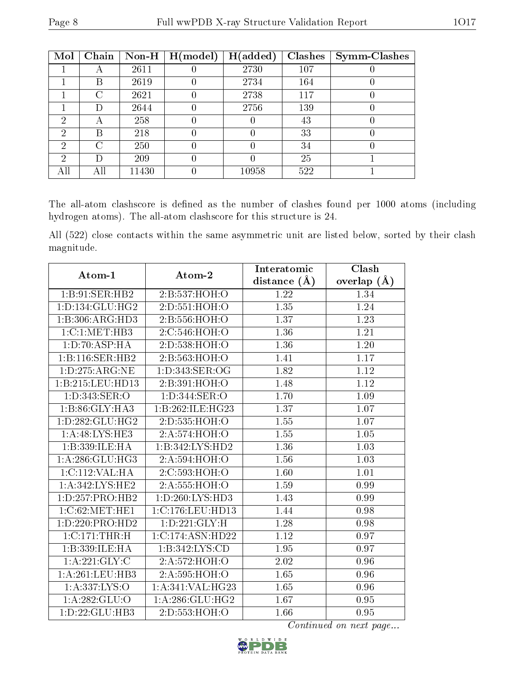| Mol            | Chain | $Non-H$ | H (model) | H(added) | Clashes | <b>Symm-Clashes</b> |
|----------------|-------|---------|-----------|----------|---------|---------------------|
|                | А     | 2611    |           | 2730     | 107     |                     |
|                | В     | 2619    |           | 2734     | 164     |                     |
|                | C     | 2621    |           | 2738     | 117     |                     |
|                | D)    | 2644    |           | 2756     | 139     |                     |
| $\overline{2}$ | А     | 258     |           |          | 43      |                     |
| 2              | В     | 218     |           |          | 33      |                     |
| ച              | C     | 250     |           |          | 34      |                     |
| 2              | D     | 209     |           |          | 25      |                     |
| AП             | All   | 11430   |           | 10958    | 522     |                     |

The all-atom clashscore is defined as the number of clashes found per 1000 atoms (including hydrogen atoms). The all-atom clashscore for this structure is 24.

All (522) close contacts within the same asymmetric unit are listed below, sorted by their clash magnitude.

| Atom-1                         | Atom-2              | Interatomic       | Clash             |
|--------------------------------|---------------------|-------------------|-------------------|
|                                |                     | distance $(\AA)$  | overlap $(A)$     |
| 1:B:91:SER:HB2                 | 2:B:537:HOH:O       | 1.22              | 1.34              |
| 1: D: 134: GLU: HG2            | 2:D:551:HOH:O       | 1.35              | 1.24              |
| 1:B:306:ARG:HD3                | 2:B:556:HOH:O       | 1.37              | 1.23              |
| 1:C:1:MET:HB3                  | 2:C:546:HOH:O       | 1.36              | 1.21              |
| 1: D:70: ASP: HA               | 2:D:538:HOH:O       | 1.36              | 1.20              |
| 1:B:116:SER:HB2                | 2: B: 563: HOH: O   | 1.41              | $\overline{1.17}$ |
| 1: D: 275: ARG: NE             | 1: D: 343: SER: OG  | 1.82              | 1.12              |
| 1:B:215:LEU:HD13               | 2:B:391:HOH:O       | 1.48              | 1.12              |
| 1:D:343:SER:O                  | 1: D: 344: SER: O   | 1.70              | $\overline{1.09}$ |
| 1:B:86:GLY:HA3                 | 1:B:262:ILE:HG23    | 1.37              | 1.07              |
| 1: D: 282: GLU: HG2            | 2:D:535:HOH:O       | 1.55              | 1.07              |
| 1: A:48: LYS: HE3              | 2:A:574:HOH:O       | $\overline{1.55}$ | 1.05              |
| 1:B:339:ILE:HA                 | 1:B:342:LYS:HD2     | 1.36              | 1.03              |
| 1: A:286: GLU:HG3              | 2:A:594:HOH:O       | 1.56              | 1.03              |
| 1:C:112:VAL:H A                | 2:C:593:HOH:O       | 1.60              | 1.01              |
| 1: A:342: LYS: HE2             | 2:A:555:HOH:O       | 1.59              | 0.99              |
| 1: D: 257: PRO: HB2            | 1: D: 260: LYS: HD3 | 1.43              | 0.99              |
| 1:C:62:MET:HE1                 | 1:C:176:LEU:HD13    | 1.44              | 0.98              |
| 1:D:220:PRO:HD2                | 1: D: 221: GLY: H   | 1.28              | 0.98              |
| 1:C:171:THR:H                  | 1:C:174:ASN:HD22    | 1.12              | 0.97              |
| 1:B:339:ILE:HA                 | 1:B:342:LYS:CD      | $\overline{1.95}$ | 0.97              |
| 1: A:221: GLY: C               | 2:A:572:HOH:O       | 2.02              | 0.96              |
| 1: A:261:LEU:HB3               | 2:A:595:HOH:O       | 1.65              | 0.96              |
| 1: A: 337: LYS: O              | 1:A:341:VAL:HG23    | 1.65              | 0.96              |
| 1: A:282: GLU:O                | 1: A:286: GLU:HG2   | 1.67              | 0.95              |
| $1: D: 22: \overline{GLU:HB3}$ | 2:D:553:HOH:O       | 1.66              | 0.95              |

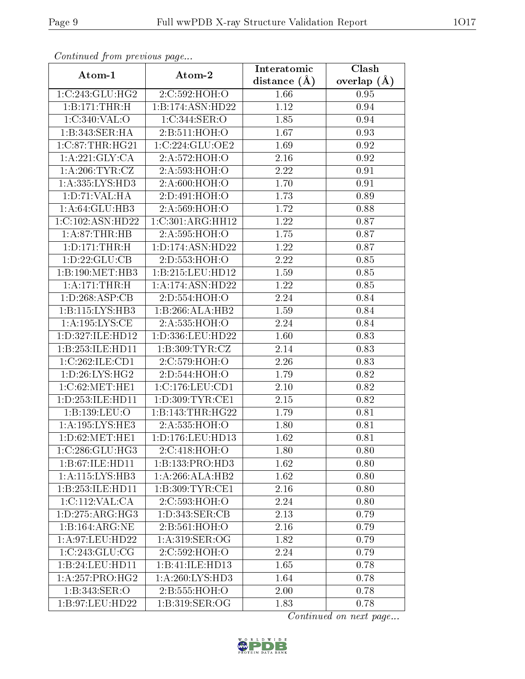| Communica from precious page |                      | Interatomic    | Clash           |
|------------------------------|----------------------|----------------|-----------------|
| Atom-1                       | Atom-2               | distance $(A)$ | overlap $(\AA)$ |
| 1:C:243:GLU:HG2              | 2:C:592:HOH:O        | 1.66           | 0.95            |
| 1:B:171:THR:H                | 1:B:174:ASN:HD22     | 1.12           | 0.94            |
| 1:C:340:VAL:O                | 1:C:344:SER:O        | 1.85           | 0.94            |
| 1:B:343:SER:HA               | 2:B:511:HOH:O        | 1.67           | 0.93            |
| 1:C:87:THR:HG21              | 1:C:224:GLU:OE2      | 1.69           | 0.92            |
| 1: A:221: GLY: CA            | 2:A:572:HOH:O        | 2.16           | 0.92            |
| 1: A:206:TYR:CZ              | 2:A:593:HOH:O        | 2.22           | 0.91            |
| 1: A: 335: LYS: HD3          | 2:A:600:HOH:O        | 1.70           | 0.91            |
| 1: D: 71: VAL: HA            | 2:D:491:HOH:O        | 1.73           | 0.89            |
| 1: A:64: GLU:HB3             | 2:A:569:HOH:O        | 1.72           | 0.88            |
| 1:C:102:ASN:HD22             | 1:C:301:ARG:HH12     | 1.22           | 0.87            |
| 1: A:87:THR:HB               | 2:A:595:HOH:O        | 1.75           | 0.87            |
| 1: D: 171: THR:H             | 1: D: 174: ASN: HD22 | 1.22           | 0.87            |
| 1: D: 22: GLU: CB            | 2:D:553:HOH:O        | 2.22           | 0.85            |
| 1:B:190:MET:HB3              | 1:B:215:LEU:HD12     | 1.59           | 0.85            |
| 1: A:171:THR:H               | 1:A:174:ASN:HD22     | 1.22           | 0.85            |
| 1: D: 268: ASP: CB           | 2:D:554:HOH:O        | 2.24           | 0.84            |
| 1:B:115:LYS:HB3              | 1:B:266:ALA:HB2      | 1.59           | 0.84            |
| 1: A: 195: LYS: CE           | 2:A:535:HOH:O        | 2.24           | 0.84            |
| 1:D:327:ILE:HD12             | 1:D:336:LEU:HD22     | 1.60           | 0.83            |
| 1:B:253:ILE:HD11             | 1: B:309: TYR: CZ    | 2.14           | 0.83            |
| 1:C:262:ILE:CD1              | 2:C:579:HOH:O        | 2.26           | 0.83            |
| 1: D:26: LYS: HG2            | 2:D:544:HOH:O        | 1.79           | 0.82            |
| 1:C:62:MET:HE1               | 1:C:176:LEU:CD1      | 2.10           | 0.82            |
| 1: D: 253: ILE: HD11         | 1: D:309: TYR: CE1   | 2.15           | 0.82            |
| 1:B:139:LEU:O                | 1:B:143:THR:HG22     | 1.79           | 0.81            |
| 1: A: 195: LYS: HE3          | 2:A:535:HOH:O        | 1.80           | 0.81            |
| 1: D:62: MET:HE1             | 1:D:176:LEU:HD13     | 1.62           | 0.81            |
| 1:C:286:GLU:HG3              | 2:C:418:HOH:O        | 1.80           | 0.80            |
| 1:B:67:ILE:HD11              | 1:B:133:PRO:HD3      | 1.62           | 0.80            |
| 1:A:115:LYS:HB3              | 1:A:266:ALA:HB2      | 1.62           | 0.80            |
| 1:B:253:ILE:HD11             | 1:B:309:TYR:CE1      | 2.16           | 0.80            |
| 1:C:112:VAL:CA               | 2:C:593:HOH:O        | 2.24           | 0.80            |
| 1: D: 275: ARG: HG3          | 1: D:343: SER:CB     | 2.13           | 0.79            |
| 1:B:164:ARG:NE               | 2:B:561:HOH:O        | 2.16           | 0.79            |
| 1:A:97:LEU:HD22              | 1:A:319:SER:OG       | 1.82           | 0.79            |
| 1:C:243:GLU:CG               | 2:C:592:HOH:O        | 2.24           | 0.79            |
| 1:B:24:LEU:HDI1              | 1:B:41:ILE:HD13      | 1.65           | 0.78            |
| 1: A:257: PRO:HG2            | 1: A:260: LYS:HD3    | 1.64           | 0.78            |
| 1:B:343:SER:O                | 2:B:555:HOH:O        | 2.00           | 0.78            |
| 1:B:97:LEU:HD22              | 1:B:319:SER:OG       | 1.83           | 0.78            |

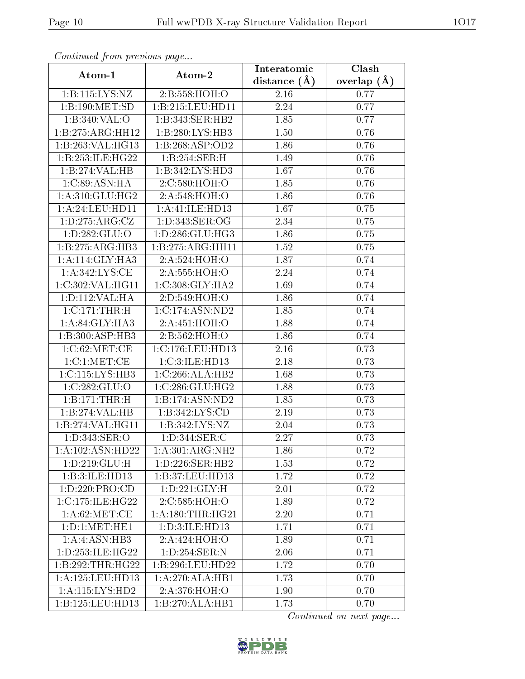| Continuati pont previous page |                     | Interatomic       | Clash         |
|-------------------------------|---------------------|-------------------|---------------|
| Atom-1                        | Atom-2              | distance $(A)$    | overlap $(A)$ |
| 1:B:115:LYS:NZ                | 2:B:558:HOH:O       | 2.16              | 0.77          |
| 1:B:190:MET:SD                | 1:B:215:LEU:HD11    | 2.24              | 0.77          |
| 1:B:340:VAL:O                 | 1:B:343:SER:HB2     | 1.85              | 0.77          |
| 1:B:275:ARG:HH12              | 1:B:280:LYS:HB3     | 1.50              | 0.76          |
| 1:B:263:VAL:HG13              | 1:B:268:ASP:OD2     | 1.86              | 0.76          |
| 1:B:253:ILE:HG22              | 1:B:254:SER:H       | 1.49              | 0.76          |
| 1:B:274:VAL:HB                | 1:B:342:LYS:HD3     | 1.67              | 0.76          |
| 1:C:89:ASN:HA                 | 2:C:580:HOH:O       | 1.85              | 0.76          |
| 1:A:310:GLU:HG2               | 2:A:548:HOH:O       | 1.86              | 0.76          |
| 1: A:24:LEU:HD11              | 1:A:41:ILE:HDI3     | 1.67              | 0.75          |
| 1: D: 275: ARG: CZ            | 1:D:343:SER:OG      | 2.34              | 0.75          |
| 1:D:282:GLU:O                 | 1: D: 286: GLU: HG3 | 1.86              | 0.75          |
| 1:B:275:ARG:HB3               | 1:B:275:ARG:HH11    | 1.52              | 0.75          |
| 1:A:114:GLY:HA3               | 2:A:524:HOH:O       | 1.87              | 0.74          |
| 1:A:342:LYS:CE                | 2:A:555:HOH:O       | 2.24              | 0.74          |
| 1:C:302:VAL:HG11              | 1:C:308:GLY:HA2     | 1.69              | 0.74          |
| 1: D: 112: VAL: HA            | 2:D:549:HOH:O       | 1.86              | 0.74          |
| 1:C:171:THR:H                 | 1:C:174:ASN:ND2     | 1.85              | 0.74          |
| 1: A:84: GLY:HA3              | 2:A:451:HOH:O       | 1.88              | 0.74          |
| 1:B:300:ASP:HB3               | 2:B:562:HOH:O       | 1.86              | 0.74          |
| 1:C:62:MET:CE                 | 1:C:176:LEU:HD13    | $\overline{2.16}$ | 0.73          |
| 1:C:1:MET:CE                  | 1:C:3:ILE:HD13      | 2.18              | 0.73          |
| 1:C:115:LYS:HB3               | 1:C:266:ALA:HB2     | 1.68              | 0.73          |
| 1:C:282:GLU:O                 | 1:C:286:GLU:HG2     | 1.88              | 0.73          |
| 1:B:171:THR:H                 | 1:B:174:ASN:ND2     | 1.85              | 0.73          |
| 1:B:274:VAL:HB                | 1:B:342:LYS:CD      | 2.19              | 0.73          |
| 1:B:274:VAL:HG11              | 1: B:342: LYS: NZ   | 2.04              | 0.73          |
| 1:D:343:SER:O                 | 1: D: 344: SER: C   | 2.27              | 0.73          |
| 1:A:102:ASN:HD22              | 1: A:301: ARG: NH2  | 1.86              | 0.72          |
| 1: D:219: GLU: H              | 1: D: 226: SER: HB2 | 1.53              | 0.72          |
| 1:B:3:ILE:HD13                | 1:B:37:LEU:HD13     | 1.72              | 0.72          |
| 1:D:220:PRO:CD                | 1: D:221: GLY:H     | 2.01              | 0.72          |
| 1:C:175:ILE:HG22              | 2:C:585:HOH:O       | 1.89              | 0.72          |
| 1: A:62:MET:CE                | 1: A:180:THR:HG21   | 2.20              | 0.71          |
| 1: D: 1: MET: HE1             | 1:D:3:ILE:HD13      | 1.71              | 0.71          |
| 1:A:ASN:HB3                   | 2:A:424:HOH:O       | 1.89              | 0.71          |
| 1: D: 253: ILE: HG22          | 1:D:254:SER:N       | 2.06              | 0.71          |
| 1:B:292:THR:HG22              | 1:B:296:LEU:HD22    | 1.72              | 0.70          |
| 1: A: 125: LEU: HD13          | 1:A:270:ALA:HB1     | 1.73              | 0.70          |
| 1:A:115:LYS:HD2               | 2:A:376:HOH:O       | 1.90              | 0.70          |
| 1:B:125:LEU:HD13              | 1:B:270:ALA:HB1     | 1.73              | 0.70          |

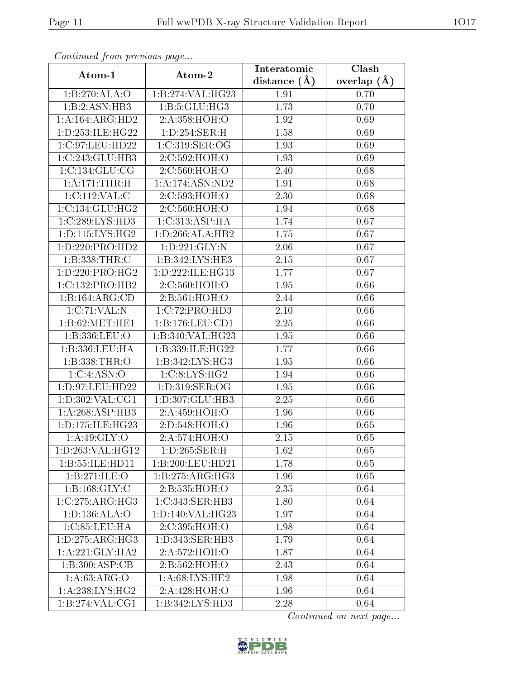| Continuea from previous page |                              | Interatomic    | $\overline{\text{Clash}}$ |
|------------------------------|------------------------------|----------------|---------------------------|
| Atom-1                       | Atom-2                       | distance $(A)$ | overlap $(A)$             |
| 1:B:270:ALA:O                | 1:B:274:VAL:HG23             | 1.91           | 0.70                      |
| 1:B:2:ASN:HB3                | 1:B:5:GLU:HG3                | 1.73           | 0.70                      |
| 1: A: 164: ARG: HD2          | 2:A:358:HOH:O                | 1.92           | 0.69                      |
| 1: D: 253: ILE: HG22         | 1: D: 254: SER:H             | 1.58           | 0.69                      |
| 1:C:97:LEU:HD22              | 1:C:319:SER:OG               | 1.93           | 0.69                      |
| 1:C:243:GLU:HB3              | 2:C:592:HOH:O                | 1.93           | 0.69                      |
| 1:C:134:GLU:CG               | 2:C:560:HOH:O                | 2.40           | 0.68                      |
| 1:A:171:THR:H                | 1:A:174:ASN:ND2              | 1.91           | 0.68                      |
| 1:C:112:VAL:CD               | 2:C:593:HOH:O                | 2.30           | 0.68                      |
| 1:C:134:GLU:HG2              | 2:C:560:HOH:O                | 1.94           | 0.68                      |
| 1:C:289:LYS:HD3              | 1:C:313:ASP:HA               | 1.74           | 0.67                      |
| 1: D: 115: LYS: HG2          | 1:D:266:ALA:HB2              | 1.75           | 0.67                      |
| 1: D: 220: PRO: HD2          | 1: D: 221: GLY:N             | 2.06           | 0.67                      |
| 1:B:338:THR:C                | 1: B: 342: LYS: HE3          | 2.15           | 0.67                      |
| 1: D: 220: PRO:HG2           | 1:D:222:ILE:HG13             | 1.77           | 0.67                      |
| 1:C:132:PRO:HB2              | 2:C:560:HOH:O                | 1.95           | 0.66                      |
| 1:B:164:ARG:CD               | 2: B: 561: HOH: O            | 2.44           | 0.66                      |
| 1:C:71:VAL:N                 | 1: C: 72: PRO: HD3           | 2.10           | 0.66                      |
| 1:B:62:MET:HE1               | 1:B:176:LEU:CD1              | 2.25           | 0.66                      |
| 1:B:336:LEU:O                | 1:B:340:VAL:HG23             | 1.95           | 0.66                      |
| 1:B:336:LEU:HA               | 1:B:339:ILE:HG22             | 1.77           | 0.66                      |
| 1:B:338:THR:O                | 1:B:342:LYS:HG3              | 1.95           | 0.66                      |
| 1:C:4:ASN:O                  | 1:C:8:LYS:HG2                | 1.94           | 0.66                      |
| 1:D:97:LEU:HD22              | 1:D:319:SER:OG               | 1.95           | 0.66                      |
| 1: D: 302: VAL: CG1          | 1:D:307:GLU:HB3              | 2.25           | 0.66                      |
| 1: A:268: ASP:HB3            | 2:A:459:HOH:O                | 1.96           | 0.66                      |
| 1: D: 175: ILE: HG23         | 2:D:548:HOH:O                | 1.96           | 0.65                      |
| 1:A:49:GLY:O                 | 2:A:574:HOH:O                | 2.15           | 0.65                      |
| 1:D:263:VAL:HG12             | 1: D: 265: SER:H             | 1.62           | 0.65                      |
| 1:B:55:ILE:HD11              | 1:B:200:LEU:HD21             | 1.78           | 0.65                      |
| 1:B:271:ILE:O                | 1:B:275:ARG:HG3              | 1.96           | 0.65                      |
| 1:B:168:GLY:C                | 2:B:535:HOH:O                | 2.35           | 0.64                      |
| 1:C:275:ARG:HG3              | 1:C:343:SER:HB3              | 1.80           | 0.64                      |
| 1:D:136:ALA:O                | 1:D:140:VAL:HG23             | 1.97           | 0.64                      |
| 1:C:85:LEU:HA                | 2:C:395:HOH:O                | 1.98           | 0.64                      |
| 1: D: 275: ARG: HG3          | 1: D: 343: SER: HB3          | 1.79           | 0.64                      |
| 1: A:221: GLY:HA2            | 2:A:572:HOH:O                | 1.87           | 0.64                      |
| 1:B:300:ASP:CB               | 2: B:562:HOH:O               | 2.43           | 0.64                      |
| 1: A:63: ARG:O               | 1: A:68: LYS: HE2            | 1.98           | 0.64                      |
| 1:A:238:LYS:HG2              | 2:A:428:HOH:O                | 1.96           | 0.64                      |
| 1:B:274:VAL:CG1              | $1:B:342:LYS:H\overline{D3}$ | 2.28           | 0.64                      |

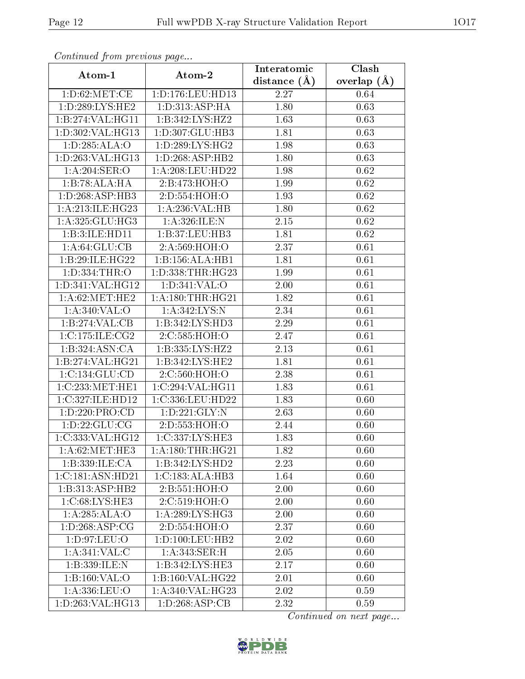| Continued from previous page       |                     | Interatomic       | Clash           |
|------------------------------------|---------------------|-------------------|-----------------|
| Atom-1                             | Atom-2              | distance $(\AA)$  | overlap $(\AA)$ |
| 1: D:62:MET:CE                     | 1:D:176:LEU:HD13    | 2.27              | 0.64            |
| 1: D: 289: LYS: HE2                | 1: D: 313: ASP: HA  | 1.80              | 0.63            |
| 1:B:274:VAL:HG11                   | 1:B:342:LYS:HZ2     | 1.63              | 0.63            |
| 1:D:302:VAL:HG13                   | 1:D:307:GLU:HB3     | 1.81              | 0.63            |
| 1: D: 285: ALA: O                  | 1:D:289:LYS:HG2     | 1.98              | 0.63            |
| 1: D: 263: VAL: HG13               | 1: D: 268: ASP: HB2 | 1.80              | 0.63            |
| $1:\overline{A:204:SER:O}$         | 1:A:208:LEU:HD22    | 1.98              | 0.62            |
| 1:B:78:ALA:HA                      | 2:B:473:HOH:O       | 1.99              | 0.62            |
| 1: D: 268: ASP: HB3                | 2:D:554:HOH:O       | $\overline{1}.93$ | 0.62            |
| 1:A:213:ILE:HG23                   | 1:A:236:VAL:HB      | 1.80              | 0.62            |
| 1:A:325:GLU:HG3                    | 1:A:326:ILE:N       | 2.15              | 0.62            |
| 1:B:3:ILE:HD11                     | 1:B:37:LEU:HB3      | 1.81              | 0.62            |
| 1: A:64: GLU:CB                    | 2:A:569:HOH:O       | 2.37              | 0.61            |
| 1:B:29:ILE:HG22                    | 1:B:156:ALA:HB1     | 1.81              | 0.61            |
| 1:D:334:THR:O                      | 1:D:338:THR:HG23    | 1.99              | 0.61            |
| 1:D:341:VAL:HG12                   | 1: D: 341: VAL: O   | 2.00              | 0.61            |
| 1: A:62:MET:HE2                    | 1: A:180:THR:HG21   | 1.82              | 0.61            |
| 1: A:340: VAL:O                    | 1:A:342:LYS:N       | 2.34              | 0.61            |
| $1:B:274:\overline{\text{VAL}:CB}$ | 1:B:342:LYS:HD3     | 2.29              | 0.61            |
| 1:C:175:ILE:CG2                    | 2:C:585:HOH:O       | 2.47              | 0.61            |
| 1:B:324:ASN:CA                     | 1:B:335:LYS:HZ2     | 2.13              | 0.61            |
| 1:B:274:VAL:HG21                   | 1:B:342:LYS:HE2     | 1.81              | 0.61            |
| 1:C:134:GLU:CD                     | 2:C:560:HOH:O       | 2.38              | 0.61            |
| 1:C:233:MET:HE1                    | 1:C:294:VAL:HG11    | 1.83              | 0.61            |
| 1:C:327:ILE:HD12                   | 1:C:336:LEU:HD22    | 1.83              | 0.60            |
| 1:D:220:PRO:CD                     | 1: D: 221: GLY:N    | 2.63              | 0.60            |
| 1: D: 22: GLU: CG                  | 2:D:553:HOH:O       | 2.44              | 0.60            |
| 1:C:333:VAL:HG12                   | 1:C:337:LYS:HE3     | 1.83              | 0.60            |
| 1: A:62: MET:HE3                   | 1: A:180:THR:HG21   | 1.82              | 0.60            |
| 1:B:339:ILE:CA                     | 1:B:342:LYS:HD2     | 2.23              | 0.60            |
| 1:C:181:ASN:HD21                   | 1:C:183:ALA:HB3     | 1.64              | 0.60            |
| 1:B:313:ASP:HB2                    | 2:B:551:HOH:O       | 2.00              | 0.60            |
| 1: C:68: LYS: HE3                  | 2:C:519:HOH:O       | 2.00              | 0.60            |
| 1:A:285:ALA:O                      | 1:A:289:LYS:HG3     | 2.00              | 0.60            |
| 1: D:268: ASP:CG                   | 2:D:554:HOH:O       | 2.37              | 0.60            |
| 1:D:97:LEU:O                       | 1: D: 100: LEU: HB2 | 2.02              | 0.60            |
| 1: A:341: VAL:C                    | 1:A:343:SER:H       | 2.05              | 0.60            |
| 1:B:339:ILE:N                      | 1:B:342:LYS:HE3     | 2.17              | 0.60            |
| 1:B:160:VAL:O                      | 1:B:160:VAL:HG22    | 2.01              | 0.60            |
| $1:$ A:336:LEU:O                   | 1: A:340: VAL:HG23  | 2.02              | 0.59            |
| 1:D:263:VAL:HG13                   | 1: D: 268: ASP: CB  | 2.32              | 0.59            |

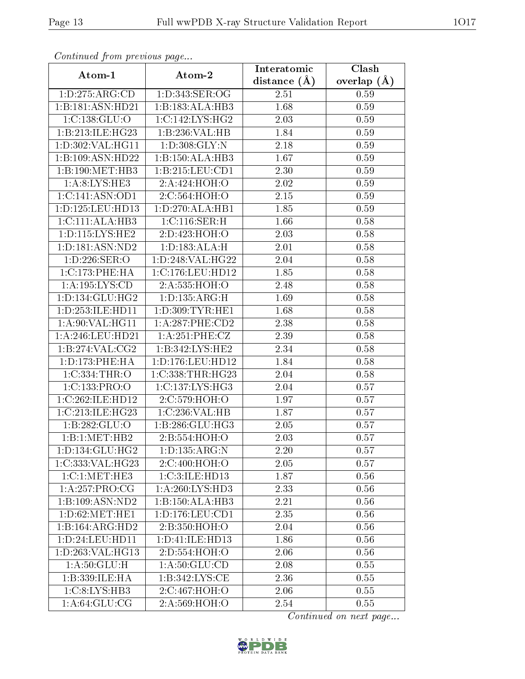| Continuea from previous page                 |                            | Interatomic       | Clash         |
|----------------------------------------------|----------------------------|-------------------|---------------|
| Atom-1                                       | Atom-2                     | distance $(\AA)$  | overlap $(A)$ |
| 1: D: 275: ARG: CD                           | 1:D:343:SER:OG             | 2.51              | 0.59          |
| 1:B:181:ASN:HD21                             | 1:B:183:ALA:HB3            | 1.68              | 0.59          |
| 1:C:138:GLU:O                                | 1:C:142:LYS:HG2            | 2.03              | 0.59          |
| 1:B:213:ILE:HG23                             | 1:B:236:VAL:HB             | 1.84              | 0.59          |
| 1:D:302:VAL:HG11                             | 1: D:308: GLY:N            | 2.18              | 0.59          |
| 1:B:109:ASN:HD22                             | 1:B:150:ALA:HB3            | 1.67              | 0.59          |
| 1:B:190:MET:HB3                              | 1:B:215:LEU:CD1            | 2.30              | 0.59          |
| 1: A:8: LYS: HE3                             | 2:A:424:HOH:O              | 2.02              | 0.59          |
| 1:C:141:ASN:OD1                              | 2:C:564:HOH:O              | 2.15              | 0.59          |
| 1: D: 125: LEU: HD13                         | 1:D:270:ALA:HB1            | 1.85              | 0.59          |
| 1: C: 111: ALA: HB3                          | 1: C:116: SER:H            | 1.66              | 0.58          |
| 1: D: 115: LYS: HE2                          | 2:D:423:HOH:O              | 2.03              | 0.58          |
| 1: D: 181: ASN: ND2                          | 1: D: 183: ALA: H          | 2.01              | 0.58          |
| 1: D: 226: SER:O                             | 1:D:248:VAL:HG22           | 2.04              | 0.58          |
| 1:C:173:PHE:HA                               | 1:C:176:LEU:HD12           | 1.85              | 0.58          |
| 1:A:195:LYS:CD                               | 2:A:535:HOH:O              | 2.48              | 0.58          |
| 1: D: 134: GLU: HG2                          | 1: D: 135: ARG: H          | 1.69              | 0.58          |
| 1: D: 253: ILE: HD11                         | 1: D: 309: TYR: HE1        | 1.68              | $0.58\,$      |
| 1:A:90:VAL:HG11                              | 1: A:287:PHE:CD2           | $\overline{2.38}$ | $0.58\,$      |
| 1: A:246:LEU:HD21                            | 1: A:251:PHE:CZ            | 2.39              | 0.58          |
| 1:B:274:VAL:CG2                              | 1:B:342:LYS:HE2            | 2.34              | $0.58\,$      |
| 1: D: 173: PHE: HA                           | 1:D:176:LEU:HD12           | 1.84              | 0.58          |
| 1:C:334:THR:O                                | 1:C:338:THR:HG23           | 2.04              | 0.58          |
| 1:C:133:PRO:O                                | 1:C:137:LYS:HG3            | 2.04              | 0.57          |
| 1:C:262:ILE:HD12                             | 2:C:579:HOH:O              | 1.97              | 0.57          |
| 1:C:213:ILE:HG23                             | 1:C:236:VAL:HB             | 1.87              | 0.57          |
| 1:B:282:GLU:O                                | 1:B:286:GLU:HG3            | 2.05              | 0.57          |
| 1:B:1:MET:HB2                                | 2:B:554:HOH:O              | 2.03              | 0.57          |
| 1: D: 134: GLU: HG2                          | 1: D: 135: ARG: N          | 2.20              | 0.57          |
| 1:C:333:VAL:HG23                             | 2:C:400:HOH:O              | 2.05              | 0.57          |
| $1:C:1:\overline{\mathrm{MET}:\mathrm{HE}3}$ | 1:C:3:ILE:HD13             | 1.87              | 0.56          |
| 1:A:257:PRO:CG                               | 1: A:260: LYS:HD3          | 2.33              | 0.56          |
| 1:B:109:ASN:ND2                              | 1:B:150:ALA:HB3            | 2.21              | 0.56          |
| 1: D:62: MET:HE1                             | 1: D: 176: LEU: CD1        | 2.35              | 0.56          |
| 1:B:164:ARG:HD2                              | 2:B:350:HOH:O              | 2.04              | 0.56          |
| 1: D: 24: LEU: HD11                          | 1: D: 41: ILE: HD13        | 1.86              | 0.56          |
| 1:D:263:VAL:HG13                             | 2:D:554:HOH:O              | 2.06              | 0.56          |
| 1: A:50: GLU: H                              | 1: A:50: GLU:CD            | 2.08              | 0.55          |
| 1:B:339:ILE:HA                               | 1:B:342:LYS:CE             | 2.36              | 0.55          |
| 1:C:8:LYS:HB3                                | 2:C:467:HOH:O              | 2.06              | 0.55          |
| $1: A:64: \overline{GLU:CG}$                 | $2:A:569:H\overline{OH:O}$ | 2.54              | 0.55          |

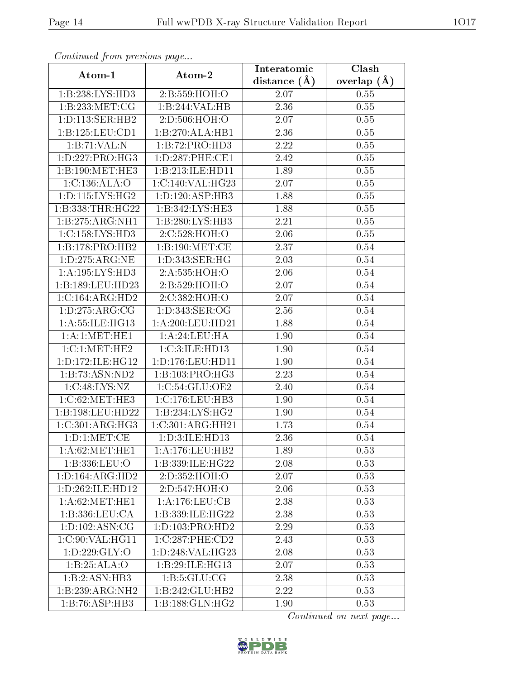| Continuea from previous page |                              | Interatomic       | Clash           |
|------------------------------|------------------------------|-------------------|-----------------|
| Atom-1                       | Atom-2                       | distance $(A)$    | overlap $(\AA)$ |
| 1:B:238:LYS:HD3              | 2:B:559:HOH:O                | 2.07              | 0.55            |
| 1:B:233:MET:CG               | 1:B:244:VAL:HB               | $\overline{2.36}$ | 0.55            |
| 1: D: 113: SER: HB2          | 2:D:506:HOH:O                | 2.07              | 0.55            |
| 1:B:125:LEU:CD1              | 1:B:270:ALA:HB1              | 2.36              | 0.55            |
| 1:B:71:VAL:N                 | 1:B:72:PRO:HD3               | 2.22              | 0.55            |
| 1: D: 227: PRO:HG3           | 1:D:287:PHE:CE1              | 2.42              | 0.55            |
| 1:B:190:MET:HE3              | 1:B:213:ILE:HD11             | 1.89              | $0.55\,$        |
| 1:C:136:ALA:O                | 1:C:140:VAL:HG23             | 2.07              | 0.55            |
| 1: D: 115: LYS: HG2          | 1: D: 120: ASP: HB3          | 1.88              | 0.55            |
| 1:B:338:THR:HG22             | 1: B: 342: LYS: HE3          | 1.88              | 0.55            |
| 1:B:275:ARG:NH1              | 1:B:280:LYS:HB3              | 2.21              | 0.55            |
| 1:C:158:LYS:HD3              | 2:C:528:HOH:O                | 2.06              | 0.55            |
| 1:B:178:PRO:HB2              | 1: B: 190:MET:CE             | 2.37              | 0.54            |
| 1: D: 275: ARG: NE           | 1: D: 343: SER: HG           | 2.03              | 0.54            |
| 1: A: 195: LYS: HD3          | 2:A:535:HOH:O                | 2.06              | 0.54            |
| 1:B:189:LEU:HD23             | 2:B:529:HOH:O                | 2.07              | 0.54            |
| 1:C:164:ARG:HD2              | 2:C:382:HOH:O                | 2.07              | 0.54            |
| 1: D: 275: ARG: CG           | 1:D:343:SER:OG               | 2.56              | 0.54            |
| 1: A: 55: ILE: HG13          | 1:A:200:LEU:HD21             | 1.88              | 0.54            |
| 1: A:1: MET: HE1             | 1:A:24:LEU:HA                | 1.90              | 0.54            |
| 1:C:1:NET:HE2                | 1:C:3:ILE:HD13               | 1.90              | 0.54            |
| 1: D: 172: ILE: HG12         | 1:D:176:LEU:HD11             | 1.90              | 0.54            |
| 1:B:73:ASN:ND2               | $1:B:103:PRO:H\overline{G3}$ | 2.23              | 0.54            |
| 1:C:48:LYS:NZ                | 1:C:54:GLU:OE2               | 2.40              | 0.54            |
| 1:C:62:MET:HE3               | 1: C: 176: LEU: HB3          | 1.90              | 0.54            |
| 1:B:198:LEU:HD22             | 1:B:234:LYS:HG2              | 1.90              | 0.54            |
| 1:C:301:ARG:HG3              | 1:C:301:ARG:HH21             | 1.73              | 0.54            |
| 1: D: 1: MET: CE             | 1:D:3:ILE:HD13               | 2.36              | 0.54            |
| 1: A:62:MET:HE1              | 1:A:176:LEU:HB2              | 1.89              | 0.53            |
| 1:B:336:LEU:O                | 1:B:339:ILE:HG22             | 2.08              | 0.53            |
| 1: D: 164: ARG: HD2          | 2:D:352:HOH:O                | 2.07              | 0.53            |
| 1: D: 262: ILE: HD12         | 2:D:547:HOH:O                | 2.06              | 0.53            |
| 1: A:62:MET:HE1              | 1: A: 176: LEU: CB           | 2.38              | 0.53            |
| 1:B:336:LEU:CA               | 1:B:339:ILE:HG22             | 2.38              | 0.53            |
| 1: D: 102: ASN: CG           | 1: D: 103: PRO: HD2          | 2.29              | 0.53            |
| 1:C:90:VAL:HG11              | 1:C:287:PHE:CD2              | 2.43              | 0.53            |
| 1: D: 229: GLY: O            | 1: D:248: VAL:HG23           | 2.08              | 0.53            |
| 1:B:25:ALA:O                 | 1:B:29:ILE:HG13              | 2.07              | 0.53            |
| 1:B:2:ASN:HB3                | 1: B: 5: GLU: CG             | 2.38              | 0.53            |
| 1:B:239:ARG:NH2              | 1:B:242:GLU:HB2              | $\overline{2.22}$ | 0.53            |
| 1:B:76:ASP:HB3               | 1:B:188:GLN:HG2              | 1.90              | 0.53            |

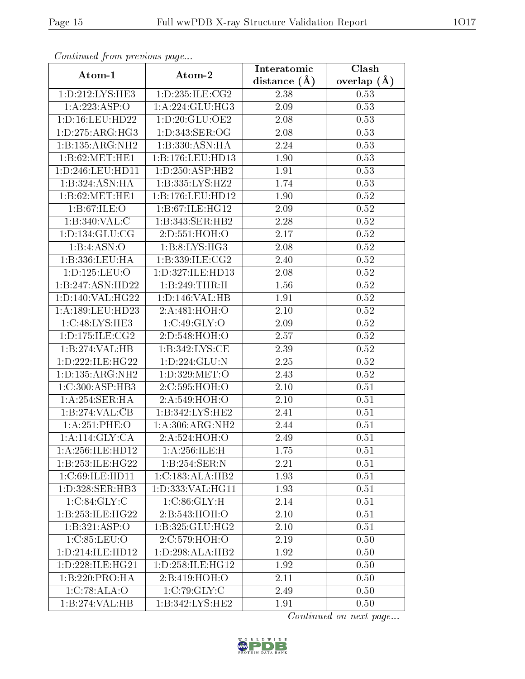| Continuati pont previous page |                                | Interatomic       | Clash           |
|-------------------------------|--------------------------------|-------------------|-----------------|
| Atom-1                        | Atom-2                         | distance $(A)$    | overlap $(\AA)$ |
| 1: D: 212: LYS: HE3           | 1:D:235:ILE:CG2                | 2.38              | 0.53            |
| 1:A:223:ASP:O                 | 1: A:224: GLU:HG3              | 2.09              | 0.53            |
| 1: D: 16: LEU: HD22           | 1: D: 20: GLU: OE2             | $2.08\,$          | 0.53            |
| 1: D: 275: ARG: HG3           | 1: D:343: SER:OG               | 2.08              | 0.53            |
| 1:B:135:ARG:NH2               | 1:B:330:ASN:HA                 | 2.24              | 0.53            |
| 1:B:62:MET:HE1                | 1:B:176:LEU:HD13               | 1.90              | 0.53            |
| 1:D:246:LEU:HD11              | 1:D:250:ASP:HB2                | 1.91              | 0.53            |
| 1:B:324:ASN:HA                | 1:B:335:LYS:HZ2                | 1.74              | 0.53            |
| 1:B:62:MET:HE1                | 1:B:176:LEU:HD12               | 1.90              | 0.52            |
| 1: B:67: ILE: O               | 1: B:67: ILE: HG12             | 2.09              | 0.52            |
| 1:B:340:VAL:C                 | 1:B:343:SER:HB2                | 2.28              | 0.52            |
| 1: D: 134: GLU: CG            | 2:D:551:HOH:O                  | 2.17              | $0.52\,$        |
| 1:B:4:ASN:O                   | 1: B: 8: LYS: HG3              | 2.08              | 0.52            |
| 1:B:336:LEU:HA                | 1:B:339:ILE:CG2                | 2.40              | 0.52            |
| 1:D:125:LEU:O                 | 1:D:327:ILE:HD13               | 2.08              | 0.52            |
| 1:B:247:ASN:HD22              | 1:B:249:THR:H                  | 1.56              | 0.52            |
| 1:D:140:VAL:HG22              | 1: D: 146: VAL: HB             | 1.91              | 0.52            |
| 1:A:189:LEU:HD23              | 2:A:481:HOH:O                  | 2.10              | 0.52            |
| 1:C:48:LYS:HE3                | 1:C:49:GLY:O                   | $\overline{2.09}$ | 0.52            |
| 1: D: 175: ILE: CG2           | 2:D:548:HOH:O                  | 2.57              | 0.52            |
| 1:B:274:VAL:HB                | 1: B: 342: LYS: CE             | 2.39              | 0.52            |
| 1: D: 222: ILE: HG22          | 1:D:224:GLU:N                  | 2.25              | 0.52            |
| 1: D: 135: ARG: NH2           | 1: D: 329: MET:O               | 2.43              | 0.52            |
| 1:C:300:ASP:HB3               | 2:C:595:HOH:O                  | 2.10              | 0.51            |
| 1:A:254:SER:HA                | 2:A:549:HOH:O                  | 2.10              | 0.51            |
| 1:B:274:VAL:CB                | 1:B:342:LYS:HE2                | 2.41              | 0.51            |
| 1:A:251:PHE:O                 | 1: A:306:ARG:NH2               | 2.44              | 0.51            |
| 1: A:114: GLY: CA             | 2:A:524:HOH:O                  | 2.49              | 0.51            |
| 1: A:256: ILE: HD12           | 1:A:256:ILE:H                  | 1.75              | 0.51            |
| 1:B:253:ILE:HG22              | 1:B:254:SER:N                  | 2.21              | 0.51            |
| 1:C:69:ILE:HD11               | 1:C:183:ALA:HB2                | 1.93              | 0.51            |
| 1: D: 328: SER: HB3           | 1:D:333:VAL:HG11               | 1.93              | 0.51            |
| 1:C:84:GLY:C                  | 1:C:86:GLY:H                   | 2.14              | 0.51            |
| 1:B:253:ILE:HG22              | 2: B: 543: H <sub>OH</sub> : O | 2.10              | 0.51            |
| 1: B: 321: ASP: O             | 1:B:325:GLU:HG2                | 2.10              | 0.51            |
| 1:C:85:LEU:O                  | 2:C:579:HOH:O                  | 2.19              | 0.50            |
| 1: D: 214: ILE: HD12          | 1:D:298:ALA:HB2                | 1.92              | 0.50            |
| 1: D: 228: ILE: HG21          | 1:D:258:ILE:HG12               | 1.92              | 0.50            |
| 1:B:220:PRO:HA                | 2:B:419:HOH:O                  | 2.11              | 0.50            |
| 1:C:78:ALA:O                  | 1:C:79:GLY:C                   | 2.49              | 0.50            |
| 1:B:274: VAL: HB              | 1:B:342:LYS:HE2                | 1.91              | 0.50            |

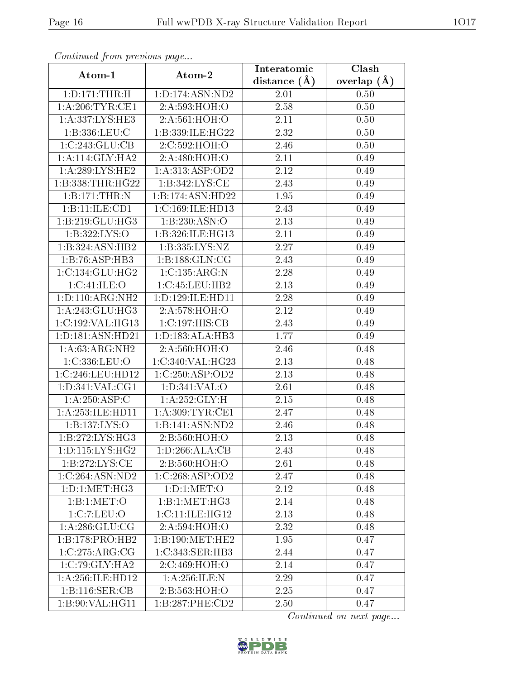| Commuca from previous page      |                                        | Interatomic       | Clash         |
|---------------------------------|----------------------------------------|-------------------|---------------|
| Atom-1                          | Atom-2                                 | distance $(A)$    | overlap $(A)$ |
| 1: D: 171: THR:H                | 1:D:174:ASN:ND2                        | 2.01              | 0.50          |
| 1:A:206:TYR:CE1                 | 2:A:593:HOH:O                          | 2.58              | 0.50          |
| 1: A: 337: LYS: HE3             | 2:A:561:HOH:O                          | 2.11              | 0.50          |
| 1:B:336:LEU:C                   | 1:B:339:ILE:HG22                       | 2.32              | 0.50          |
| 1:C:243:GLU:CB                  | 2:C:592:HOH:O                          | 2.46              | 0.50          |
| 1:A:114:GLY:HA2                 | 2:A:480:HOH:O                          | 2.11              | 0.49          |
| 1: A:289:LYS:HE2                | 1: A:313: ASP:OD2                      | 2.12              | 0.49          |
| 1:B:338:THR:HG22                | $1: B: 342: LYS: \overline{\text{CE}}$ | 2.43              | 0.49          |
| 1:B:171:THR:N                   | 1:B:174:ASN:HD22                       | 1.95              | 0.49          |
| 1:B:11:ILE:CD1                  | 1:C:169:ILE:HD13                       | 2.43              | 0.49          |
| $1:B:219:GL\overline{U:HG3}$    | 1:B:230:ASN:O                          | 2.13              | 0.49          |
| 1:B:322:LYS:O                   | 1:B:326:ILE:HG13                       | 2.11              | 0.49          |
| 1:B:324:ASN:HB2                 | 1:B:335:LYS:NZ                         | 2.27              | 0.49          |
| 1:B:76:ASP:HB3                  | 1:B:188:GLN:CG                         | 2.43              | 0.49          |
| 1:C:134:GLU:HG2                 | 1:C:135:ARG:N                          | 2.28              | 0.49          |
| 1:C:41:ILE:O                    | 1:C:45:LEU:HB2                         | 2.13              | 0.49          |
| 1: D: 110: ARG: NH2             | 1:D:129:ILE:HD11                       | 2.28              | 0.49          |
| 1: A:243: GLU:HG3               | 2:A:578:HOH:O                          | 2.12              | 0.49          |
| 1:C:192:VAL:HG13                | 1:C:197:HIS:CB                         | 2.43              | 0.49          |
| 1:D:181:ASN:HD21                | 1:D:183:ALA:HB3                        | 1.77              | 0.49          |
| 1: A:63: ARG: NH2               | 2:A:560:HOH:O                          | 2.46              | 0.48          |
| 1:C:336:LEU:O                   | 1:C:340:VAL:HG23                       | 2.13              | 0.48          |
| 1:C:246:LEU:HD12                | 1:C:250:ASP:OD2                        | 2.13              | 0.48          |
| 1: D: 341: VAL: CG1             | 1:D:341:VAL:O                          | $\overline{2.61}$ | 0.48          |
| 1:A:250:ASP:C                   | 1: A:252: GLY: H                       | 2.15              | 0.48          |
| 1:A:253:ILE:HD11                | 1: A:309:TYR:CE1                       | $\overline{2}.47$ | 0.48          |
| 1:B:137:LYS:O                   | 1:B:141:ASN:ND2                        | 2.46              | 0.48          |
| $1: B:272: LYS: H\overline{G3}$ | 2:B:560:HOH:O                          | 2.13              | 0.48          |
| 1: D: 115: LYS: HG2             | 1:D:266:ALA:CB                         | 2.43              | 0.48          |
| 1:B:272:LYS:CE                  | 2:B:560:HOH:O                          | 2.61              | 0.48          |
| 1:C:264:ASN:ND2                 | 1:C:268:ASP:OD2                        | 2.47              | 0.48          |
| 1: D: 1: MET: HG3               | 1: D: 1: MET: O                        | 2.12              | 0.48          |
| 1:Bi:1:MET:O                    | 1:B:1:MET:HG3                          | 2.14              | 0.48          |
| 1:C:7:LEU:O                     | 1:C:11:IE:HG12                         | 2.13              | 0.48          |
| 1: A:286: GLU:CG                | 2:A:594:HOH:O                          | 2.32              | 0.48          |
| 1:B:178:PRO:HB2                 | 1:B:190:MET:HE2                        | 1.95              | 0.47          |
| 1:C:275:ARG:CG                  | 1:C:343:SER:HB3                        | 2.44              | 0.47          |
| 1:C:79:CLY:HA2                  | 2:C:469:HOH:O                          | 2.14              | 0.47          |
| 1: A:256: ILE: HD12             | 1: A:256: ILE:N                        | 2.29              | 0.47          |
| 1:B:116:SER:CB                  | 2:B:563:HOH:O                          | 2.25              | 0.47          |
| 1:B:90:VAL:HG11                 | 1:B:287:PHE:CD2                        | 2.50              | 0.47          |

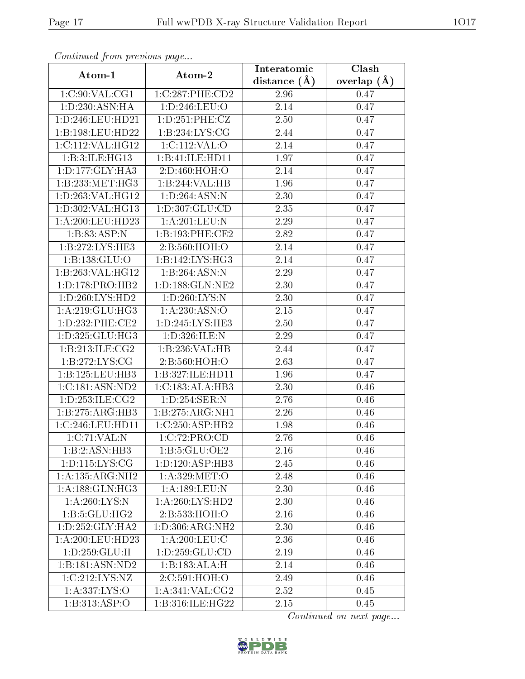| Continuea from previous page |                                     | Interatomic       | Clash         |
|------------------------------|-------------------------------------|-------------------|---------------|
| Atom-1                       | Atom-2                              | distance $(A)$    | overlap $(A)$ |
| 1:C:90:VAL:CG1               | 1:C:287:PHE:CD2                     | 2.96              | 0.47          |
| 1:D:230:ASN:HA               | 1: D: 246: LEU:O                    | 2.14              | 0.47          |
| 1:D:246:LEU:HD21             | 1: D: 251: PHE: CZ                  | 2.50              | 0.47          |
| 1:B:198:LEU:HD22             | 1:B:234:LYS:CG                      | $\overline{2}.44$ | 0.47          |
| 1:C:112:VAL:HG12             | 1:C:112:VAL:O                       | 2.14              | 0.47          |
| 1:B:3:ILE:HG13               | 1:B:41:ILE:HD11                     | 1.97              | 0.47          |
| 1: D: 177: GLY: HA3          | 2:D:460:HOH:O                       | 2.14              | 0.47          |
| 1:B:233:MET:HG3              | 1:B:244:VAL:HB                      | 1.96              | 0.47          |
| 1:D:263:VAL:HG12             | 1: D: 264: ASN: N                   | $\overline{2}.30$ | 0.47          |
| 1:D:302:VAL:HG13             | 1: D: 307: GLU: CD                  | 2.35              | 0.47          |
| 1: A:200:LEU:HD23            | 1:A:201:LEU:N                       | 2.29              | 0.47          |
| 1:B:83:ASP:N                 | 1:B:193:PHE:CE2                     | 2.82              | 0.47          |
| 1:B:272:LYS:HE3              | 2:B:560:HOH:O                       | 2.14              | 0.47          |
| 1:B:138:GLU:O                | 1:B:142:LYS:HG3                     | 2.14              | 0.47          |
| 1:B:263:VAL:HG12             | 1:B:264:ASN:N                       | 2.29              | 0.47          |
| 1: D: 178: PRO: HB2          | 1: D: 188: GLN: NE2                 | 2.30              | 0.47          |
| 1: D: 260: LYS: HD2          | 1:D:260:LYS:N                       | 2.30              | 0.47          |
| 1: A:219: GLU:HG3            | 1: A:230:ASN:O                      | 2.15              | 0.47          |
| 1: D: 232: PHE: CE2          | 1:D:245:LYS:HE3                     | 2.50              | 0.47          |
| 1:D:325:GLU:HG3              | 1:D:326:ILE:N                       | 2.29              | 0.47          |
| 1:B:213:ILE:CG2              | 1:B:236:VAL:HB                      | 2.44              | 0.47          |
| 1:B:272:LYS:CG               | 2:B:560:HOH:O                       | 2.63              | 0.47          |
| 1:B:125:LEU:HB3              | 1:B:327:ILE:HD11                    | 1.96              | 0.47          |
| 1:C:181:ASN:ND2              | 1:C:183:ALA:HB3                     | $\overline{2}.30$ | 0.46          |
| 1: D: 253: ILE: CG2          | 1:D:254:SER:N                       | 2.76              | 0.46          |
| 1:B:275:ARG:HB3              | 1:B:275:ARG:NH1                     | $\overline{2}.26$ | 0.46          |
| 1:C:246:LEU:HD11             | $1:C:250:ASP:H\overline{B2}$        | 1.98              | 0.46          |
| 1:C:71:VAL:N                 | 1:C:72:PRO:CD                       | 2.76              | 0.46          |
| $1:B:2:A\overline{SN:HB3}$   | 1:B:5:GLU:OE2                       | 2.16              | 0.46          |
| 1: D: 115: LYS: CG           | 1:D:120:ASP:HB3                     | 2.45              | 0.46          |
| 1:A:135:ARG:NH2              | 1: A:329:MET:O                      | 2.48              | 0.46          |
| 1: A: 188: GLN: HG3          | 1:A:189:LEU:N                       | 2.30              | 0.46          |
| 1: A:260: LYS:N              | 1: A:260: LYS: HD2                  | 2.30              | 0.46          |
| 1:B:5:GLU:HG2                | 2:B:533:HOH:O                       | 2.16              | 0.46          |
| 1: D: 252: GLY: HA2          | 1: D: 306: ARG: NH2                 | 2.30              | 0.46          |
| 1:A:200:LEU:HD23             | 1: A:200:LEU:C                      | 2.36              | $0.46\,$      |
| 1: D: 259: GLU: H            | 1: D: 259: GLU: CD                  | 2.19              | 0.46          |
| 1:B:181:ASN:ND2              | $1:B:183:\overline{\mathrm{ALA:H}}$ | 2.14              | 0.46          |
| 1:C:212:LYS:NZ               | 2:C:591:HOH:O                       | 2.49              | 0.46          |
| 1:A:337:LYS:O                | 1:A:341:VAL:CG2                     | 2.52              | 0.45          |
| 1:B:313:ASP:O                | 1:B:316:ILE:HG22                    | 2.15              | 0.45          |

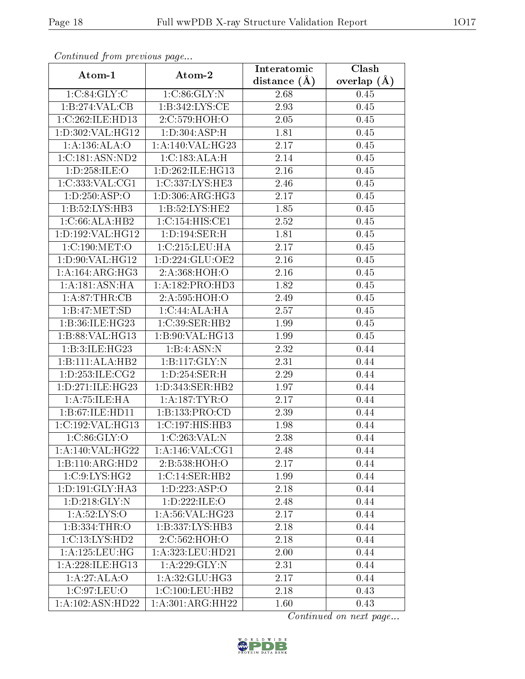| Continuati pont previous page |                                      | Interatomic      | Clash           |
|-------------------------------|--------------------------------------|------------------|-----------------|
| Atom-1                        | Atom-2                               | distance $(\AA)$ | overlap $(\AA)$ |
| 1:C:84:GLY:C                  | 1:C:86:GLY:N                         | 2.68             | 0.45            |
| 1:B:274:VAL:CB                | 1: B: 342: LYS: CE                   | 2.93             | 0.45            |
| 1:C:262:ILE:HD13              | 2:C:579:HOH:O                        | 2.05             | 0.45            |
| 1: D: 302: VAL:HG12           | 1:D:304:ASP:H                        | 1.81             | 0.45            |
| 1:A:136:ALA:O                 | 1: A:140: VAL:HG23                   | 2.17             | 0.45            |
| 1:C:181:ASN:ND2               | 1:C:183:ALA:H                        | 2.14             | 0.45            |
| 1: D: 258: ILE: O             | 1:D:262:ILE:HG13                     | 2.16             | 0.45            |
| 1:C:333:VAL:CG1               | 1:C:337:LYS:HE3                      | 2.46             | 0.45            |
| 1: D: 250: ASP:O              | 1: D: 306: ARG: HG3                  | 2.17             | 0.45            |
| 1:B:52:LYS:HB3                | 1:B:52:LYS:HE2                       | 1.85             | 0.45            |
| 1:C:66:ALA:HB2                | 1:C:154:HIS:CE1                      | 2.52             | 0.45            |
| 1:D:192:VAL:HG12              | $1: D: 194: \overline{\text{SER:H}}$ | 1.81             | 0.45            |
| 1:C:190:MET:O                 | 1:C:215:LEU:HA                       | 2.17             | 0.45            |
| 1:D:90:VAL:HG12               | 1: D: 224: GLU: OE2                  | 2.16             | 0.45            |
| 1:A:164:ARG:HG3               | 2:A:368:HOH:O                        | 2.16             | 0.45            |
| 1:A:181:ASN:HA                | 1:A:182:PRO:HD3                      | 1.82             | 0.45            |
| 1:A.87:THR:CB                 | 2:A:595:HOH:O                        | 2.49             | 0.45            |
| 1:B:47:MET:SD                 | 1: C:44:ALA:HA                       | 2.57             | 0.45            |
| 1:B:36:ILE:HG23               | 1:C:39:SER:HB2                       | 1.99             | $0.45\,$        |
| 1:B:88:VAL:HG13               | 1: B:90: VAL:HG13                    | 1.99             | 0.45            |
| 1:B:3:ILE:HG23                | 1:B:4:ASN:N                          | 2.32             | 0.44            |
| 1:B:111:ALA:HB2               | 1: B: 117: GLY: N                    | 2.31             | 0.44            |
| 1: D: 253: ILE: CG2           | 1:D:254:SER:H                        | 2.29             | 0.44            |
| 1: D:271: ILE: HG23           | 1:D:343:SER:HB2                      | 1.97             | 0.44            |
| 1:A:75:ILE:HA                 | 1:A:187:TYR:O                        | 2.17             | 0.44            |
| 1:B:67:ILE:HD11               | 1:B:133:PRO:CD                       | 2.39             | 0.44            |
| 1:C:192:VAL:HG13              | 1:C:197:HIS:HB3                      | 1.98             | 0.44            |
| 1:C:86:GLY:O                  | 1:C:263:VAL:N                        | 2.38             | 0.44            |
| 1:A:140:VAL:HG22              | 1:A:146:VAL:CG1                      | 2.48             | 0.44            |
| 1:B:110:ARG:HD2               | 2:B:538:HOH:O                        | 2.17             | 0.44            |
| 1:C:9:LYS:HG2                 | 1:C:14:SER:HB2                       | 1.99             | 0.44            |
| 1: D: 191: GLY: HA3           | 1:D:223:ASP:O                        | 2.18             | 0.44            |
| 1: D: 218: GLY: N             | 1:D:222:ILE:O                        | 2.48             | 0.44            |
| 1: A:52:LYS:O                 | 1:A:56:VAL:HG23                      | 2.17             | 0.44            |
| 1:B:334:THR:O                 | 1:B:337:LYS:HB3                      | 2.18             | 0.44            |
| $1:\overline{C:13:LYS:HD2}$   | 2:C:562:HOH:O                        | 2.18             | 0.44            |
| 1:A:125:LEU:HG                | 1:A:323:LEU:HD21                     | 2.00             | 0.44            |
| 1: A:228: ILE: HG13           | 1:A:229:GLY:N                        | 2.31             | 0.44            |
| 1:A:27:ALA:O                  | 1:A:32:GLU:HG3                       | 2.17             | 0.44            |
| 1:C:97:LEU:O                  | 1: C: 100: LEU: HB2                  | 2.18             | 0.43            |
| 1:A:102:ASN:HD22              | 1:A:301:ARG:HH22                     | 1.60             | 0.43            |

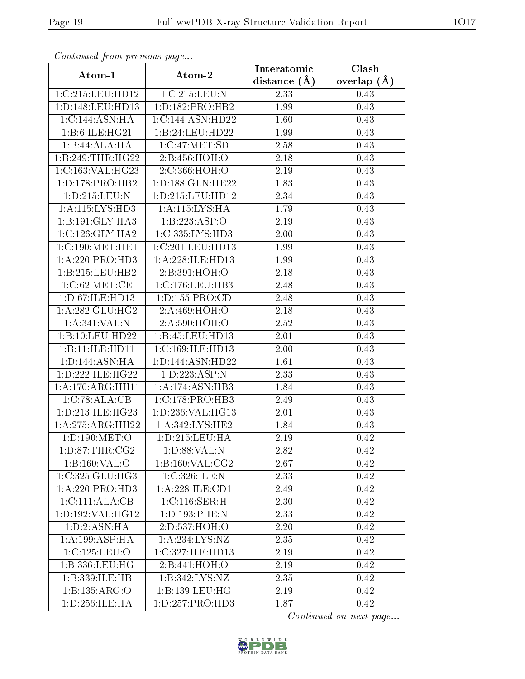| Continuea from previous page |                     | Interatomic       | Clash           |
|------------------------------|---------------------|-------------------|-----------------|
| Atom-1                       | Atom-2              | distance $(A)$    | overlap $(\AA)$ |
| 1:C:215:LEU:HD12             | 1:C:215:LEU:N       | 2.33              | 0.43            |
| 1:D:148:LEU:HD13             | 1: D: 182: PRO: HB2 | $\overline{1}.99$ | 0.43            |
| 1:C:144:ASN:HA               | 1:C:144:ASN:HD22    | 1.60              | 0.43            |
| 1:B:6:ILE:HG21               | 1:B:24:LEU:HD22     | 1.99              | 0.43            |
| 1:B:44:ALA:HA                | 1:C:47:MET:SD       | 2.58              | 0.43            |
| 1:B:249:THR:HG22             | 2:B:456:HOH:O       | 2.18              | 0.43            |
| 1:C:163:VAL:HG23             | 2:C:366:HOH:O       | 2.19              | 0.43            |
| 1: D: 178: PRO: HB2          | 1:D:188:GLN:HE22    | 1.83              | 0.43            |
| 1:D:215:LEU:N                | 1:D:215:LEU:HD12    | 2.34              | 0.43            |
| 1:A:115:LYS:HD3              | 1:A:115:LYS:HA      | 1.79              | 0.43            |
| 1:B:191:GLY:HA3              | 1:B:223:ASP:O       | 2.19              | 0.43            |
| 1:C:126:GLY:HA2              | 1:C:335:LYS:HD3     | <b>2.00</b>       | 0.43            |
| 1:C:190:MET:HE1              | 1:C:201:LEU:HD13    | 1.99              | 0.43            |
| 1:A:220:PRO:HD3              | 1: A:228: ILE: HD13 | 1.99              | 0.43            |
| 1:B:215:LEU:HB2              | 2:B:391:HOH:O       | 2.18              | 0.43            |
| 1:C:62:MET:CE                | 1: C: 176: LEU: HB3 | 2.48              | 0.43            |
| 1:D:67:ILE:HD13              | 1: D: 155: PRO: CD  | 2.48              | 0.43            |
| 1: A:282: GLU:HG2            | 2:A:469:HOH:O       | 2.18              | 0.43            |
| 1:A:341:VAL:N                | 2:A:590:HOH:O       | 2.52              | 0.43            |
| 1:B:10:LEU:HD22              | 1:B:45:LEU:HD13     | $2.01\,$          | 0.43            |
| 1:B:11:ILE:HD11              | 1:C:169:ILE:HD13    | 2.00              | 0.43            |
| 1: D: 144: ASN: HA           | 1:D:144:ASN:HD22    | 1.61              | 0.43            |
| 1: D: 222: ILE: HG22         | 1:D:223:ASP:N       | 2.33              | 0.43            |
| 1:A:170:ARG:HH11             | 1:A:174:ASN:HB3     | 1.84              | 0.43            |
| 1:C:78:ALA:CB                | 1:C:178:PRO:HB3     | 2.49              | 0.43            |
| 1: D: 213: ILE: HG23         | 1:D:236:VAL:HG13    | $\overline{2.01}$ | 0.43            |
| 1:A:275:ARG:HH22             | 1:A:342:LYS:HE2     | 1.84              | 0.43            |
| 1:D:190:MET:O                | 1:D:215:LEU:HA      | 2.19              | 0.42            |
| 1: D:87:THR:CG2              | 1: D:88: VAL: N     | 2.82              | 0.42            |
| 1:B:160:VAL:O                | 1:B:160:VAL:CG2     | 2.67              | 0.42            |
| 1:C:325:GLU:HG3              | 1:C:326:ILE:N       | 2.33              | 0.42            |
| 1:A:220:PRO:HD3              | 1: A:228: ILE: CD1  | 2.49              | 0.42            |
| 1:C:111:ALA:CB               | 1:C:116:SER:H       | 2.30              | 0.42            |
| 1:D:192:VAL:HG12             | 1:D:193:PHE:N       | 2.33              | 0.42            |
| 1:D:2:ASN:HA                 | 2:D:537:HOH:O       | 2.20              | 0.42            |
| 1:A:199:ASP:HA               | 1: A: 234: LYS: NZ  | 2.35              | 0.42            |
| 1:C:125:LEU:O                | 1:C:327:ILE:HD13    | 2.19              | 0.42            |
| 1:B:336:LEU:HG               | 2:B:441:HOH:O       | 2.19              | 0.42            |
| 1:B:339:ILE:HB               | 1:B:342:LYS:NZ      | 2.35              | 0.42            |
| 1:B:135:ARG:O                | 1:B:139:LEU:HG      | 2.19              | 0.42            |
| 1: D: 256: ILE: HA           | 1:D:257:PRO:HD3     | 1.87              | 0.42            |

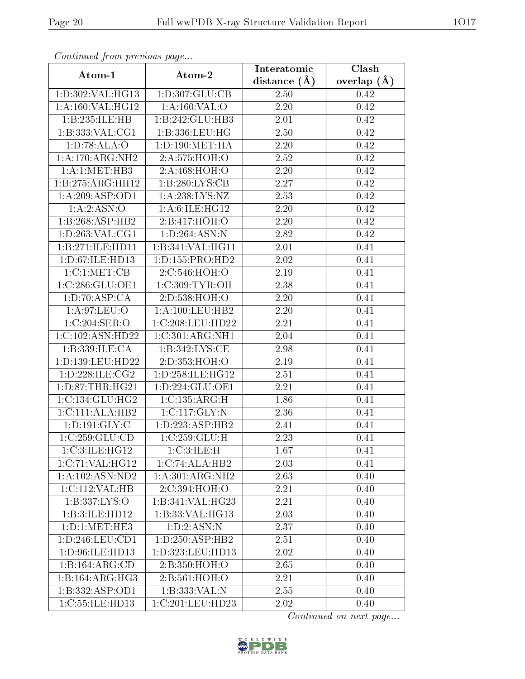| Continuea from previous page |                                     | Interatomic       | Clash         |
|------------------------------|-------------------------------------|-------------------|---------------|
| Atom-1                       | Atom-2                              | distance $(A)$    | overlap $(A)$ |
| 1:D:302:VAL:HG13             | 1:D:307:GLU:CB                      | 2.50              | 0.42          |
| 1:A:160:VAL:HG12             | 1: A: 160: VAL: O                   | $\overline{2}.20$ | 0.42          |
| 1:B:235:ILE:HB               | 1:B:242:GLU:HB3                     | 2.01              | 0.42          |
| 1:B:333:VAL:CG1              | 1:B:336:LEU:HG                      | 2.50              | 0.42          |
| 1: D:78: ALA:O               | 1: D: 190: MET: HA                  | 2.20              | 0.42          |
| 1:A:170:ARG:NH2              | 2:A:575:HOH:O                       | 2.52              | 0.42          |
| 1:A:1:MET:HB3                | 2:A:468:HOH:O                       | 2.20              | 0.42          |
| 1:B:275:ARG:HH12             | 1:B:280:LYS:CB                      | 2.27              | 0.42          |
| 1:A:209:ASP:OD1              | 1: A:238: LYS: NZ                   | 2.53              | 0.42          |
| 1: A: 2: ASN: O              | 1: A:6: ILE: HG12                   | 2.20              | 0.42          |
| 1:B:268:ASP:HB2              | 2:B:417:HOH:O                       | 2.20              | 0.42          |
| 1: D: 263: VAL: CG1          | 1:D:264:ASN:N                       | 2.82              | 0.42          |
| 1:B:271:ILE:HD11             | 1:B:341:VAL:HG11                    | 2.01              | 0.41          |
| 1: D:67: ILE: HD13           | 1: D: 155: PRO: HD2                 | 2.02              | 0.41          |
| 1: C: 1: MET: CB             | 2:C:546:HOH:O                       | 2.19              | 0.41          |
| 1:C:286:GLU:OE1              | 1:C:309:TYR:OH                      | 2.38              | 0.41          |
| 1: D: 70: ASP: CA            | 2:D:538:HOH:O                       | 2.20              | 0.41          |
| 1: A:97: LEU:O               | 1:A:100:LEU:HB2                     | 2.20              | 0.41          |
| 1:C:204:SER:O                | 1:C:208:LEU:HD22                    | 2.21              | 0.41          |
| 1:C:102:ASN:HD22             | 1:C:301:ARG:NH1                     | 2.04              | 0.41          |
| 1:B:339:ILE:CA               | 1: B: 342: LYS: CE                  | 2.98              | 0.41          |
| 1:D:139:LEU:HD22             | 2:D:353:HOH:O                       | 2.19              | 0.41          |
| 1:D:228:ILE:CG2              | 1:D:258:ILE:HG12                    | 2.51              | 0.41          |
| 1: D:87:THR:HG21             | 1: D: 224: GLU: OE1                 | 2.21              | 0.41          |
| 1:C:134:GLU:HG2              | 1: C: 135: ARG: H                   | 1.86              | 0.41          |
| 1:C:111:ALA:HB2              | 1:C:117:GLY:N                       | 2.36              | 0.41          |
| 1: D: 191: GLY: C            | 1:D:223:ASP:HB2                     | 2.41              | 0.41          |
| 1:C:259:GLU:CD               | 1:C:259:GLU:H                       | 2.23              | 0.41          |
| 1:C:3:ILE:HG12               | 1:C:3:ILE:H                         | 1.67              | 0.41          |
| 1:C:71:VAL:HG12              | 1:C:74:ALA:HB2                      | 2.03              | 0.41          |
| 1:A:102:ASN:ND2              | $1:A:301:ARG:\overline{\text{NH2}}$ | 2.63              | 0.40          |
| 1:C:112:VAL:HB               | 2:C:394:HOH:O                       | 2.21              | 0.40          |
| 1:B:337:LYS:O                | 1:B:341:VAL:HG23                    | 2.21              | 0.40          |
| 1:B:3:ILE:HD12               | 1:B:33:VAL:HG13                     | 2.03              | 0.40          |
| 1: D: 1: MET: HE3            | 1: D: 2: ASN: N                     | 2.37              | 0.40          |
| 1: D: 246: LEU: CD1          | 1: D: 250: ASP: HB2                 | 2.51              | 0.40          |
| 1: D: 96: ILE: HD13          | 1:D:323:LEU:HD13                    | 2.02              | 0.40          |
| 1:B:164:ARG:CD               | 2:B:350:HOH:O                       | 2.65              | 0.40          |
| 1:B:164:ARG:HG3              | 2:B:561:HOH:O                       | 2.21              | 0.40          |
| 1:B:332:ASP:OD1              | 1:B:333:VAL:N                       | 2.55              | 0.40          |
| 1:C:55:ILE:HD13              | 1:C:201:LEU:HD23                    | 2.02              | 0.40          |

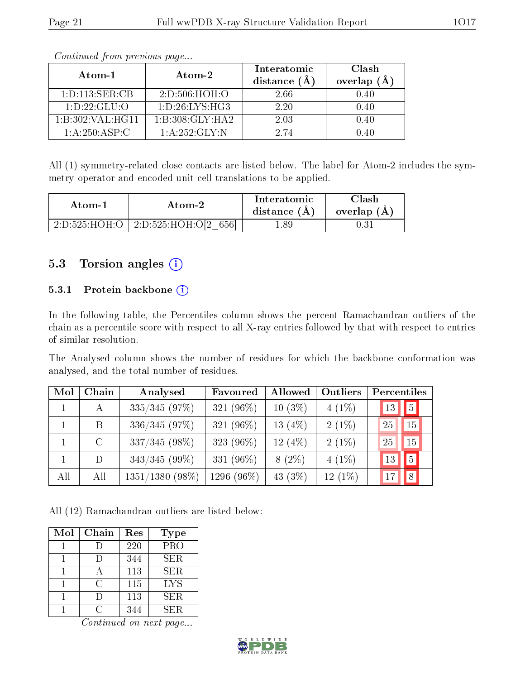| Atom-1             | Atom-2            | Interatomic<br>distance $(A)$ | Clash<br>overlap $(A)$ |
|--------------------|-------------------|-------------------------------|------------------------|
| 1: D: 113: SER: CB | 2: D: 506: HOH: O | 2.66                          | 0.40                   |
| 1: D: 22: GLU: O   | 1: D:26: LYS: HG3 | 2.20                          | 0.40                   |
| 1:B:302:VAL:HG11   | 1:B:308:GLY:HA2   | 2.03                          | 0.40                   |
| 1: A:250: ASP:C    | 1: A:252: GLY:N   | 2.74                          | በ 4በ                   |

All (1) symmetry-related close contacts are listed below. The label for Atom-2 includes the symmetry operator and encoded unit-cell translations to be applied.

| Atom-2        |                                      | Interatomic    | Clash         |
|---------------|--------------------------------------|----------------|---------------|
| Atom-1        |                                      | distance $(A)$ | overlap $(A)$ |
| 2:D:525:HOH:O | $\pm 2$ :D:525:HOH:O[2 $\pm$<br>6561 | - 89           |               |

### 5.3 Torsion angles (i)

#### 5.3.1 Protein backbone (i)

In the following table, the Percentiles column shows the percent Ramachandran outliers of the chain as a percentile score with respect to all X-ray entries followed by that with respect to entries of similar resolution.

The Analysed column shows the number of residues for which the backbone conformation was analysed, and the total number of residues.

| Mol | Chain        | Analysed          | Favoured     | Allowed   | Outliers  | Percentiles |                  |
|-----|--------------|-------------------|--------------|-----------|-----------|-------------|------------------|
|     | $\mathbf{A}$ | $335/345$ (97%)   | 321 (96%)    | $10(3\%)$ | $4(1\%)$  | 13          | $\mathbf{1}_{5}$ |
|     | B.           | 336/345(97%)      | 321 $(96\%)$ | 13 $(4%)$ | $2(1\%)$  | 25          | 15               |
|     | $\rm C$      | $337/345(98\%)$   | 323 $(96\%)$ | $12(4\%)$ | $2(1\%)$  | 25          | 15               |
|     | D            | $343/345$ (99%)   | 331 (96%)    | $8(2\%)$  | $4(1\%)$  | 13          | 5                |
| All | All          | $1351/1380$ (98%) | 1296 (96%)   | 43 (3%)   | $12(1\%)$ |             | 8                |

All (12) Ramachandran outliers are listed below:

| Mol | Chain | Res | Type       |
|-----|-------|-----|------------|
|     | I)    | 220 | PRO        |
|     |       | 344 | <b>SER</b> |
|     |       | 113 | <b>SER</b> |
|     | C     | 115 | <b>LYS</b> |
|     |       | 113 | <b>SER</b> |
|     |       | 344 | SER.       |

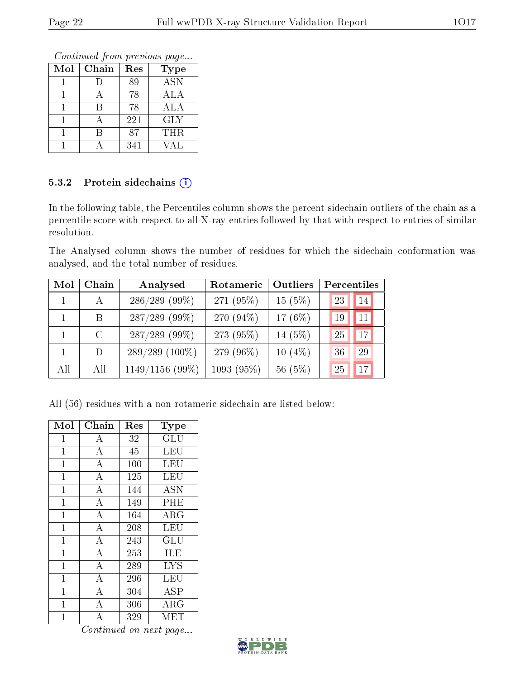Continued from previous page...

| Mol | Chain | Res | <b>Type</b>               |
|-----|-------|-----|---------------------------|
|     |       | 89  | $\overline{\mathrm{ASN}}$ |
|     |       | 78  | ALA                       |
|     |       | 78  | ALA                       |
|     |       | 221 | <b>GLY</b>                |
|     |       | 87  | <b>THR</b>                |
|     |       | 341 | VAL                       |

#### 5.3.2 Protein sidechains (i)

In the following table, the Percentiles column shows the percent sidechain outliers of the chain as a percentile score with respect to all X-ray entries followed by that with respect to entries of similar resolution.

The Analysed column shows the number of residues for which the sidechain conformation was analysed, and the total number of residues.

| Mol | Chain   | Analysed          | Rotameric  | Outliers   | Percentiles |
|-----|---------|-------------------|------------|------------|-------------|
|     | А       | $286/289$ (99%)   | 271 (95%)  | 15(5%)     | 23<br>14    |
|     | B       | $287/289$ (99%)   | 270 (94%)  | 17 $(6\%)$ | 11<br>19    |
|     | $\rm C$ | $287/289$ (99%)   | 273 (95%)  | 14 (5%)    | 25<br>17    |
|     | D       | $289/289(100\%)$  | 279 (96\%) | $10(4\%)$  | 36<br>29    |
| All | All     | $1149/1156(99\%)$ | 1093(95%)  | 56(5%)     | 17<br>25    |

All (56) residues with a non-rotameric sidechain are listed below:

| Mol            | Chain              | Res | $_{\rm Type}$           |
|----------------|--------------------|-----|-------------------------|
| $\mathbf{1}$   | $\boldsymbol{A}$   | 32  | GLU                     |
| $\mathbf{1}$   | $\boldsymbol{A}$   | 45  | LEU                     |
| $\mathbf 1$    | $\overline{\rm A}$ | 100 | $\overline{\text{LEU}}$ |
| $\mathbf 1$    | $\bf{A}$           | 125 | LEU                     |
| $\mathbf{1}$   | $\overline{A}$     | 144 | <b>ASN</b>              |
| $\overline{1}$ | $\overline{A}$     | 149 | PHE                     |
| $\mathbf 1$    | $\overline{A}$     | 164 | $\rm{ARG}$              |
| $\mathbf{1}$   | $\boldsymbol{A}$   | 208 | LEU                     |
| $\mathbf{1}$   | $\overline{A}$     | 243 | GLU                     |
| $\overline{1}$ | $\overline{A}$     | 253 | $\overline{\rm ILE}$    |
| $\mathbf{1}$   | $\boldsymbol{A}$   | 289 | <b>LYS</b>              |
| $\mathbf{1}$   | $\bf{A}$           | 296 | LEU                     |
| 1              | $\overline{A}$     | 304 | <b>ASP</b>              |
| $\mathbf{1}$   | А                  | 306 | $\rm{ARG}$              |
| 1              | $\overline{A}$     | 329 | MET                     |

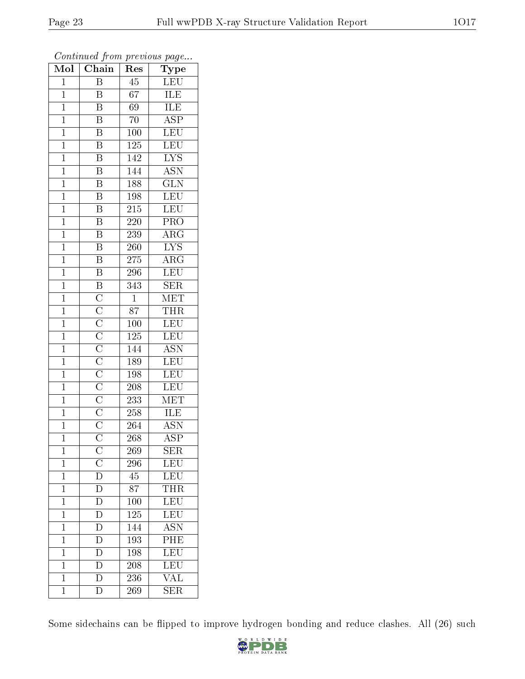| $\overline{\text{Mol}}$ | $\sim$ $\sim$<br>Chain   | r -<br>Res       | $\mathbf{r}$ $\mathbf{v}$<br>Type |
|-------------------------|--------------------------|------------------|-----------------------------------|
| $\mathbf{1}$            | Β                        | 45               | <b>LEU</b>                        |
| $\mathbf{1}$            | B                        | 67               | ILE                               |
| $\mathbf{1}$            | $\overline{\mathrm{B}}$  | $6\overline{9}$  | <b>ILE</b>                        |
| $\overline{1}$          | B                        | 70               | $\overline{\text{ASP}}$           |
| $\overline{1}$          | $\overline{\mathrm{B}}$  | 100              | LEU                               |
| $\mathbf 1$             | $\overline{\rm B}$       | 125              | $\overline{\text{LEU}}$           |
| $\mathbf{1}$            | $\overline{\mathrm{B}}$  | 142              | $\overline{\text{LYS}}$           |
| $\mathbf{1}$            | $\overline{\mathrm{B}}$  | $\overline{144}$ | $\overline{\mathrm{ASN}}$         |
| $\overline{1}$          | $\overline{\text{B}}$    | 188              | $\overline{\text{GLN}}$           |
| $\overline{1}$          | $\overline{\mathrm{B}}$  | 198              | LEU                               |
| $\mathbf{1}$            | $\overline{\mathbf{B}}$  | 215              | <b>LEU</b>                        |
| $\mathbf{1}$            | $\overline{\mathrm{B}}$  | 220              | $\overline{\text{PRO}}$           |
| $\mathbf{1}$            | $\overline{\mathbf{B}}$  | 239              | $\rm{ARG}$                        |
| $\overline{1}$          | $\overline{\mathrm{B}}$  | 260              | $\overline{\text{LYS}}$           |
| $\overline{1}$          | $\overline{\mathrm{B}}$  | $\overline{275}$ | $\overline{\text{ARG}}$           |
| $\mathbf 1$             | B                        | 296              | LEU                               |
| $\mathbf{1}$            | $\overline{B}$           | 343              | $\overline{\text{SER}}$           |
| $\overline{1}$          |                          | $\mathbf{1}$     | $\operatorname{MET}$              |
| $\overline{1}$          |                          | 87               | THR                               |
| $\mathbf{1}$            |                          | 100              | LEU <sup></sup>                   |
| $\mathbf{1}$            |                          | 125              | LEU                               |
| $\mathbf{1}$            |                          | 144              | $\overline{\text{ASN}}$           |
| $\mathbf{1}$            |                          | 189              | <b>LEU</b>                        |
| $\overline{1}$          |                          | 198              | LEU                               |
| $\overline{1}$          |                          | 208              | <b>LEU</b>                        |
| $\mathbf{1}$            |                          | 233              | $\overline{\text{MET}}$           |
| $\mathbf{1}$            |                          | 258              | ILE                               |
| $\overline{1}$          |                          | 264              | $A\overline{SN}$                  |
| $\overline{1}$          |                          | 268              | $\overline{\text{ASP}}$           |
| 1                       | $\mathcal{C}$            | 269              | SER                               |
| $\mathbf{1}$            |                          | 296              | LEU                               |
| $\mathbf{1}$            | $\frac{\overline{C}}{D}$ | 45               | LEU                               |
| $\mathbf{1}$            | $\overline{\rm D}$       | 87               | <b>THR</b>                        |
| $\overline{1}$          | $\overline{\rm D}$       | <b>100</b>       | LEU                               |
| $\mathbf{1}$            | D                        | 125              | $\overline{\text{LEU}}$           |
| $\mathbf 1$             | $\overline{\rm D}$       | 144              | <b>ASN</b>                        |
| $\mathbf 1$             | $\overline{\rm D}$       | 193              | PHE                               |
| $\overline{1}$          | $\overline{\text{D}}$    | 198              | $\overline{\text{LEU}}$           |
| $\mathbf{1}$            | D                        | 208              | LEU                               |
| $\mathbf{1}$            | $\overline{\rm D}$       | 236              | VAL                               |
| $\mathbf 1$             | $\overline{\rm D}$       | 269              | $\overline{\text{SER}}$           |

Some sidechains can be flipped to improve hydrogen bonding and reduce clashes. All (26) such

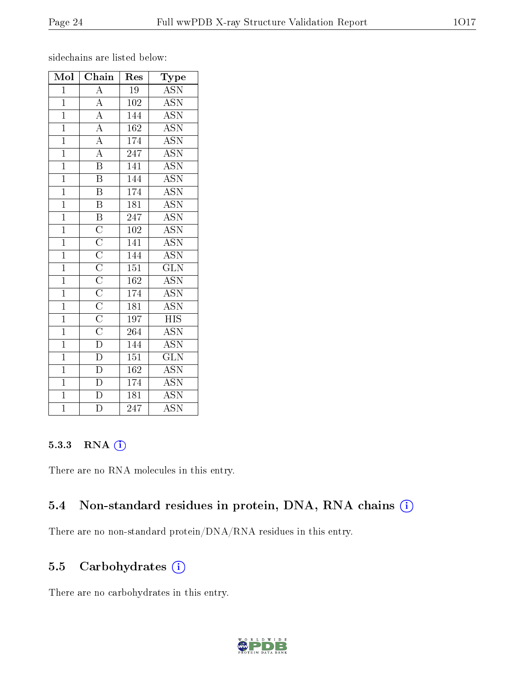sidechains are listed below:

| Mol            | Chain                                                                                                                                                                                                                                             | Res              | Type                      |
|----------------|---------------------------------------------------------------------------------------------------------------------------------------------------------------------------------------------------------------------------------------------------|------------------|---------------------------|
| $\overline{1}$ | $\overline{A}$                                                                                                                                                                                                                                    | $\overline{19}$  | $\overline{ASN}$          |
| $\mathbf{1}$   |                                                                                                                                                                                                                                                   | 102              | <b>ASN</b>                |
| $\overline{1}$ | $\frac{\overline{A}}{\overline{A}}$                                                                                                                                                                                                               | 144              | $\overline{\text{ASN}}$   |
| $\overline{1}$ |                                                                                                                                                                                                                                                   | 162              | <b>ASN</b>                |
| $\overline{1}$ | $\frac{\overline{A}}{\overline{A}}$                                                                                                                                                                                                               | 174              | <b>ASN</b>                |
| $\overline{1}$ |                                                                                                                                                                                                                                                   | $\overline{247}$ | <b>ASN</b>                |
| $\overline{1}$ | $\overline{\text{B}}$                                                                                                                                                                                                                             | 141              | <b>ASN</b>                |
| $\overline{1}$ | $\overline{\mathrm{B}}$                                                                                                                                                                                                                           | $\overline{144}$ | $\overline{\mathrm{ASN}}$ |
| $\overline{1}$ | $\overline{\mathrm{B}}$                                                                                                                                                                                                                           | 174              | <b>ASN</b>                |
| $\overline{1}$ | $\overline{\mathbf{B}}$                                                                                                                                                                                                                           | $\overline{181}$ | <b>ASN</b>                |
| $\overline{1}$ | $\overline{B}$                                                                                                                                                                                                                                    | 247              | <b>ASN</b>                |
| $\overline{1}$ |                                                                                                                                                                                                                                                   | 102              | <b>ASN</b>                |
| $\overline{1}$ |                                                                                                                                                                                                                                                   | 141              | $\overline{\mathrm{ASN}}$ |
| $\overline{1}$ |                                                                                                                                                                                                                                                   | 144              | $\overline{\text{ASN}}$   |
| $\overline{1}$ |                                                                                                                                                                                                                                                   | $\overline{151}$ | $\overline{\text{GLN}}$   |
| $\overline{1}$ |                                                                                                                                                                                                                                                   | $\overline{162}$ | <b>ASN</b>                |
| $\mathbf{1}$   |                                                                                                                                                                                                                                                   | $17\overline{4}$ | $\overline{\text{ASN}}$   |
| $\overline{1}$ |                                                                                                                                                                                                                                                   | $\overline{181}$ | $\overline{\text{ASN}}$   |
| $\overline{1}$ | $\overline{\text{C}}$ $\overline{\text{C}}$ $\overline{\text{C}}$ $\overline{\text{C}}$ $\overline{\text{C}}$ $\overline{\text{C}}$ $\overline{\text{C}}$ $\overline{\text{C}}$ $\overline{\text{C}}$ $\overline{\text{C}}$ $\overline{\text{D}}$ | $\overline{1}97$ | $_{\rm HIS}$              |
| $\overline{1}$ |                                                                                                                                                                                                                                                   | $\overline{264}$ | $\overline{\text{ASN}}$   |
| $\overline{1}$ |                                                                                                                                                                                                                                                   | 144              | <b>ASN</b>                |
| $\overline{1}$ | $\overline{\mathrm{D}}$                                                                                                                                                                                                                           | $\overline{151}$ | $\overline{{\rm GLN}}$    |
| $\overline{1}$ | $\frac{\overline{D}}{D}$                                                                                                                                                                                                                          | 162              | $\overline{\text{ASN}}$   |
| $\overline{1}$ |                                                                                                                                                                                                                                                   | 174              | <b>ASN</b>                |
| $\overline{1}$ | $\overline{\rm D}$                                                                                                                                                                                                                                | $\overline{181}$ | $\overline{\mathrm{ASN}}$ |
| $\overline{1}$ | $\overline{\rm D}$                                                                                                                                                                                                                                | $\overline{2}47$ | $\overline{\mathrm{ASN}}$ |

#### 5.3.3 RNA (i)

There are no RNA molecules in this entry.

### 5.4 Non-standard residues in protein, DNA, RNA chains (i)

There are no non-standard protein/DNA/RNA residues in this entry.

### 5.5 Carbohydrates (i)

There are no carbohydrates in this entry.

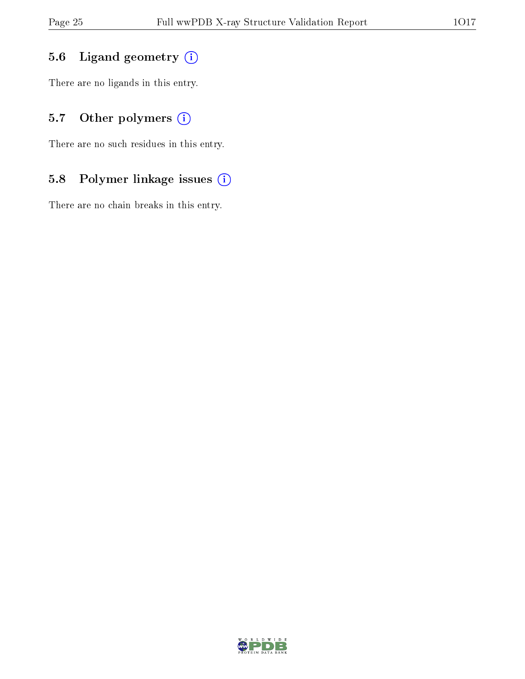## 5.6 Ligand geometry (i)

There are no ligands in this entry.

## 5.7 [O](https://www.wwpdb.org/validation/2017/XrayValidationReportHelp#nonstandard_residues_and_ligands)ther polymers (i)

There are no such residues in this entry.

## 5.8 Polymer linkage issues (i)

There are no chain breaks in this entry.

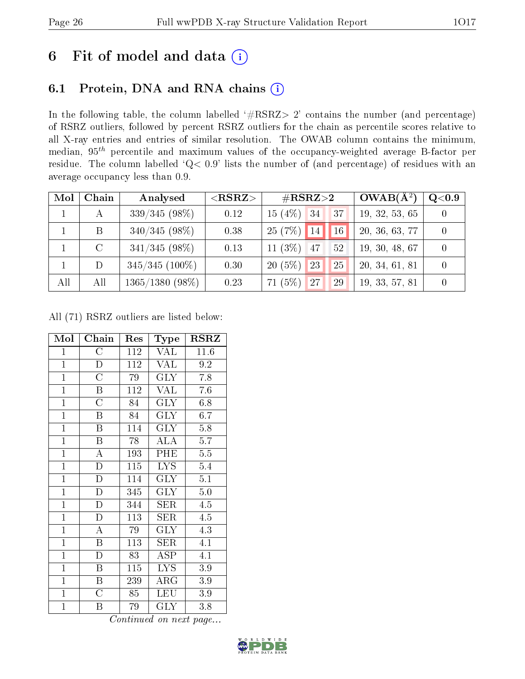# 6 Fit of model and data  $(i)$

# 6.1 Protein, DNA and RNA chains  $(i)$

In the following table, the column labelled  $#RSRZ> 2'$  contains the number (and percentage) of RSRZ outliers, followed by percent RSRZ outliers for the chain as percentile scores relative to all X-ray entries and entries of similar resolution. The OWAB column contains the minimum, median,  $95<sup>th</sup>$  percentile and maximum values of the occupancy-weighted average B-factor per residue. The column labelled ' $Q< 0.9$ ' lists the number of (and percentage) of residues with an average occupancy less than 0.9.

| Mol | Chain | Analysed          | $<$ RSRZ $>$ | $\#\text{RSRZ}\text{>2}$ |    |                 | $OWAB(A^2)$    | Q <sub>0.9</sub> |
|-----|-------|-------------------|--------------|--------------------------|----|-----------------|----------------|------------------|
|     |       | $339/345(98\%)$   | 0.12         | $15(4\%)$ 34             |    | 37              | 19, 32, 53, 65 |                  |
|     | B     | $340/345(98\%)$   | 0.38         | $25(7%)$ 14              |    | 16 <sup>°</sup> | 20, 36, 63, 77 |                  |
|     |       | $341/345(98\%)$   | 0.13         | 11 $(3\%)$               | 47 | 52              | 19, 30, 48, 67 |                  |
|     | D     | $345/345$ (100%)  | 0.30         | $20(5\%)$                | 23 | 25              | 20, 34, 61, 81 |                  |
| All | All   | $1365/1380(98\%)$ | 0.23         | (5%)<br>71               | 27 | 29              | 19, 33, 57, 81 |                  |

All (71) RSRZ outliers are listed below:

| Mol            | Chain                   | Res | Type       | <b>RSRZ</b> |
|----------------|-------------------------|-----|------------|-------------|
| $\mathbf{1}$   | $\overline{\rm C}$      | 112 | VAL        | 11.6        |
| $\overline{1}$ | D                       | 112 | <b>VAL</b> | 9.2         |
| $\mathbf{1}$   | $\overline{\rm C}$      | 79  | <b>GLY</b> | 7.8         |
| $\overline{1}$ | $\, {\bf B}$            | 112 | <b>VAL</b> | 7.6         |
| $\overline{1}$ | $\overline{\rm C}$      | 84  | <b>GLY</b> | 6.8         |
| $\mathbf{1}$   | $\overline{B}$          | 84  | <b>GLY</b> | 6.7         |
| $\overline{1}$ | $\boldsymbol{B}$        | 114 | <b>GLY</b> | $5.8\,$     |
| $\overline{1}$ | B                       | 78  | <b>ALA</b> | 5.7         |
| $\overline{1}$ | $\overline{\rm A}$      | 193 | PHE        | $5.5\,$     |
| $\overline{1}$ | $\overline{\rm D}$      | 115 | <b>LYS</b> | $5.4\,$     |
| $\mathbf{1}$   | $\mathbf{D}$            | 114 | $\rm GLY$  | 5.1         |
| $\overline{1}$ | $\overline{\rm D}$      | 345 | <b>GLY</b> | $5.0\,$     |
| $\mathbf{1}$   | $\mathbf{D}$            | 344 | SER        | 4.5         |
| $\mathbf{1}$   | $\mathbf D$             | 113 | SER        | 4.5         |
| $\overline{1}$ | $\overline{\rm A}$      | 79  | <b>GLY</b> | 4.3         |
| $\mathbf{1}$   | $\, {\bf B}$            | 113 | <b>SER</b> | 4.1         |
| $\overline{1}$ | $\mathbf{D}$            | 83  | ASP        | 4.1         |
| $\mathbf{1}$   | Β                       | 115 | LYS.       | 3.9         |
| $\overline{1}$ | $\overline{\mathrm{B}}$ | 239 | $\rm{ARG}$ | 3.9         |
| $\overline{1}$ | $\overline{C}$          | 85  | <b>LEU</b> | $3.9\,$     |
| $\mathbf{1}$   | Β                       | 79  | $\rm GLY$  | 3.8         |

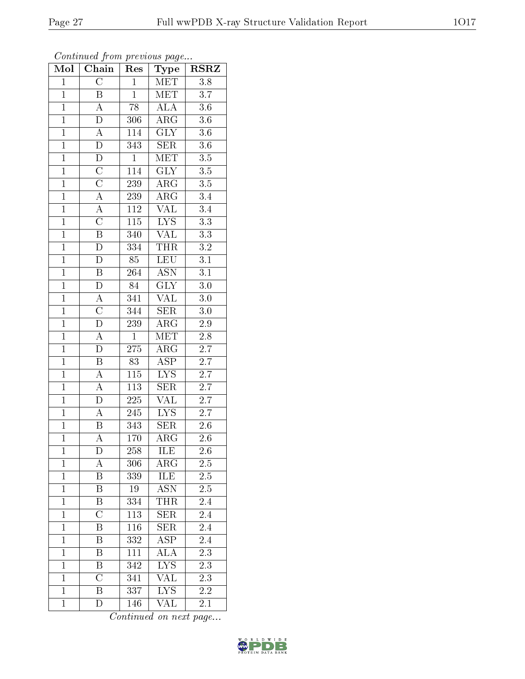| Mol            | Chain                    | Res              | Type                            | $\overline{\text{RSR}}$ |
|----------------|--------------------------|------------------|---------------------------------|-------------------------|
| $\overline{1}$ | $\overline{C}$           | $\overline{1}$   | MET                             | $\overline{3.8}$        |
| $\mathbf{1}$   | B                        | $\overline{1}$   | <b>MET</b>                      | $\overline{3.7}$        |
| $\overline{1}$ | $\overline{A}$           | $\overline{78}$  | $\overline{\rm ALA}$            | $\overline{3.6}$        |
| $\mathbf{1}$   | $\mathbf D$              | 306              | $AR\overline{G}$                | $3.6\,$                 |
| $\overline{1}$ | $\overline{A}$           | 114              | $\overline{\text{GLY}}$         | $\overline{3.6}$        |
| $\overline{1}$ | $\overline{\rm D}$       | 343              | <b>SER</b>                      | $3.6\,$                 |
| $\overline{1}$ | $\overline{\rm D}$       | $\overline{1}$   | MET                             | $\overline{3.5}$        |
| $\overline{1}$ | $\overline{C}$           | 114              | $\overline{\text{GLY}}$         | $\overline{3.5}$        |
| $\overline{1}$ | $\frac{\overline{C}}{A}$ | 239              | $\rm{ARG}$                      | $\overline{3.5}$        |
| $\overline{1}$ |                          | 239              | $\overline{\rm{ARG}}$           | $\overline{3.4}$        |
| $\overline{1}$ | $\rm A$                  | $\overline{112}$ | $\overline{\text{VAL}}$         | $\overline{3.4}$        |
| $\overline{1}$ | $\overline{\rm C}$       | $\overline{115}$ | $\overline{\text{L} \text{YS}}$ | $\overline{3.3}$        |
| $\overline{1}$ | $\overline{\mathrm{B}}$  | 340              | $\overline{\text{VAL}}$         | 3.3                     |
| $\overline{1}$ | $\overline{\rm D}$       | 334              | <b>THR</b>                      | $\overline{3.2}$        |
| $\overline{1}$ | D                        | $\overline{85}$  | LEU                             | $\overline{3.1}$        |
| $\overline{1}$ | $\overline{\mathbf{B}}$  | 264              | $\overline{\mathrm{ASN}}$       | $\overline{3.1}$        |
| $\overline{1}$ | $\overline{\rm D}$       | $\overline{84}$  | $\overline{\text{GLY}}$         | $\overline{3.0}$        |
| $\mathbf{1}$   | $\overline{A}$           | 341              | <b>VAL</b>                      | 3.0                     |
| $\mathbf{1}$   | $\overline{\rm C}$       | 344              | SER                             | 3.0                     |
| $\overline{1}$ | $\overline{\rm D}$       | 239              | $\bar{\rm{ARG}}$                | $2.9\,$                 |
| $\overline{1}$ | $\overline{\rm A}$       | $\mathbf{1}$     | MET                             | 2.8                     |
| $\overline{1}$ | $\overline{\rm D}$       | $\overline{275}$ | $\overline{\rm{ARG}}$           | $\overline{2.7}$        |
| $\mathbf{1}$   | B                        | 83               | <b>ASP</b>                      | 2.7                     |
| $\overline{1}$ | $\overline{\rm A}$       | $\overline{115}$ | $\overline{\text{LYS}}$         | $\overline{2.7}$        |
| $\overline{1}$ | $\overline{A}$           | 113              | <b>SER</b>                      | 2.7                     |
| $\overline{1}$ | $\overline{\rm D}$       | $\overline{225}$ | <b>VAL</b>                      | $\overline{2.7}$        |
| $\overline{1}$ | $\overline{A}$           | 245              | $\overline{\text{LYS}}$         | $\overline{2.7}$        |
| $\overline{1}$ | $\overline{\mathrm{B}}$  | 343              | $\overline{\text{SER}}$         | $\overline{2}.6$        |
| $\overline{1}$ | $\overline{\rm A}$       | 170              | $\overline{\rm{ARG}}$           | 2.6                     |
| 1              | D                        | 258              | ILE                             | 2.6                     |
| $\mathbf{1}$   | A                        | 306              | $\rm{AR}\bar{\rm{G}}$           | $2.\overline{5}$        |
| $\overline{1}$ | B                        | 339              | <b>ILE</b>                      | $\overline{2.5}$        |
| $\mathbf{1}$   | $\boldsymbol{B}$         | 19               | <b>ASN</b>                      | $2.5\,$                 |
| $\mathbf{1}$   | Β                        | 334              | <b>THR</b>                      | 2.4                     |
| $\mathbf{1}$   | $\overline{C}$           | 113              | <b>SER</b>                      | 2.4                     |
| $\overline{1}$ | Β                        | 116              | $\overline{\text{SER}}$         | $\overline{2.4}$        |
| $\mathbf{1}$   | Β                        | 332              | <b>ASP</b>                      | 2.4                     |
| $\mathbf{1}$   | $\boldsymbol{B}$         | 111              | <b>ALA</b>                      | $2.3\,$                 |
| $\overline{1}$ | $\overline{\mathrm{B}}$  | 342              | $\overline{LYS}$                | $2.\overline{3}$        |
| $\mathbf{1}$   | $\overline{C}$           | 341              | VAL                             | 2.3                     |
| $\overline{1}$ | $\overline{\mathrm{B}}$  | $\overline{337}$ | $\overline{LYS}$                | $\overline{2.2}$        |
| $\mathbf{1}$   | D                        | 146              | $\overline{\text{VAL}}$         | $2.1\,$                 |